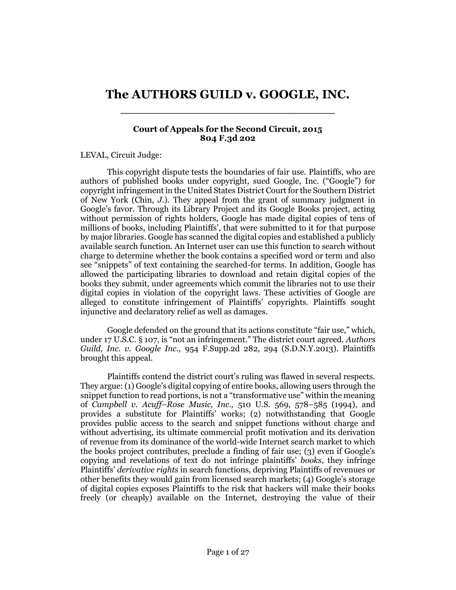# **The AUTHORS GUILD v. GOOGLE, INC.** \_\_\_\_\_\_\_\_\_\_\_\_\_\_\_\_\_\_\_\_\_\_\_\_\_\_\_\_

# **Court of Appeals for the Second Circuit, 2015 804 F.3d 202**

#### LEVAL, Circuit Judge:

This copyright dispute tests the boundaries of fair use. Plaintiffs, who are authors of published books under copyright, sued Google, Inc. ("Google") for copyright infringement in the United States District Court for the Southern District of New York (Chin, *J.*). They appeal from the grant of summary judgment in Google's favor. Through its Library Project and its Google Books project, acting without permission of rights holders, Google has made digital copies of tens of millions of books, including Plaintiffs', that were submitted to it for that purpose by major libraries. Google has scanned the digital copies and established a publicly available search function. An Internet user can use this function to search without charge to determine whether the book contains a specified word or term and also see "snippets" of text containing the searched-for terms. In addition, Google has allowed the participating libraries to download and retain digital copies of the books they submit, under agreements which commit the libraries not to use their digital copies in violation of the copyright laws. These activities of Google are alleged to constitute infringement of Plaintiffs' copyrights. Plaintiffs sought injunctive and declaratory relief as well as damages.

Google defended on the ground that its actions constitute "fair use," which, unde[r 17 U.S.C. § 107](http://www.westlaw.com/Link/Document/FullText?findType=L&pubNum=1000546&cite=17USCAS107&originatingDoc=I918674d4743311e5a807ad48145ed9f1&refType=LQ&originationContext=document&vr=3.0&rs=cblt1.0&transitionType=DocumentItem&contextData=(sc.Search)), is "not an infringement." The district court agreed. *[Authors](http://www.westlaw.com/Link/Document/FullText?findType=Y&serNum=2031955706&pubNum=0004637&originatingDoc=I918674d4743311e5a807ad48145ed9f1&refType=RP&fi=co_pp_sp_4637_294&originationContext=document&vr=3.0&rs=cblt1.0&transitionType=DocumentItem&contextData=(sc.Search)#co_pp_sp_4637_294)  Guild, Inc. v. Google Inc.,* [954 F.Supp.2d 282, 294 \(S.D.N.Y.2013\).](http://www.westlaw.com/Link/Document/FullText?findType=Y&serNum=2031955706&pubNum=0004637&originatingDoc=I918674d4743311e5a807ad48145ed9f1&refType=RP&fi=co_pp_sp_4637_294&originationContext=document&vr=3.0&rs=cblt1.0&transitionType=DocumentItem&contextData=(sc.Search)#co_pp_sp_4637_294) Plaintiffs brought this appeal.

Plaintiffs contend the district court's ruling was flawed in several respects. They argue: (1) Google's digital copying of entire books, allowing users through the snippet function to read portions, is not a "transformative use" within the meaning of *Campbell v. Acuff–Rose Music, Inc.,* [510 U.S. 569, 578](http://www.westlaw.com/Link/Document/FullText?findType=Y&serNum=1994058334&pubNum=0000708&originatingDoc=I918674d4743311e5a807ad48145ed9f1&refType=RP&originationContext=document&vr=3.0&rs=cblt1.0&transitionType=DocumentItem&contextData=(sc.Search))–585 (1994), and provides a substitute for Plaintiffs' works; (2) notwithstanding that Google provides public access to the search and snippet functions without charge and without advertising, its ultimate commercial profit motivation and its derivation of revenue from its dominance of the world-wide Internet search market to which the books project contributes, preclude a finding of fair use; (3) even if Google's copying and revelations of text do not infringe plaintiffs' *books,* they infringe Plaintiffs' *derivative rights* in search functions, depriving Plaintiffs of revenues or other benefits they would gain from licensed search markets; (4) Google's storage of digital copies exposes Plaintiffs to the risk that hackers will make their books freely (or cheaply) available on the Internet, destroying the value of their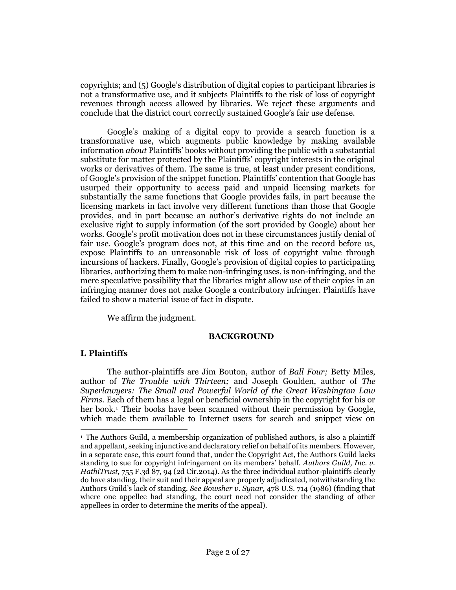copyrights; and (5) Google's distribution of digital copies to participant libraries is not a transformative use, and it subjects Plaintiffs to the risk of loss of copyright revenues through access allowed by libraries. We reject these arguments and conclude that the district court correctly sustained Google's fair use defense.

Google's making of a digital copy to provide a search function is a transformative use, which augments public knowledge by making available information *about* Plaintiffs' books without providing the public with a substantial substitute for matter protected by the Plaintiffs' copyright interests in the original works or derivatives of them. The same is true, at least under present conditions, of Google's provision of the snippet function. Plaintiffs' contention that Google has usurped their opportunity to access paid and unpaid licensing markets for substantially the same functions that Google provides fails, in part because the licensing markets in fact involve very different functions than those that Google provides, and in part because an author's derivative rights do not include an exclusive right to supply information (of the sort provided by Google) about her works. Google's profit motivation does not in these circumstances justify denial of fair use. Google's program does not, at this time and on the record before us, expose Plaintiffs to an unreasonable risk of loss of copyright value through incursions of hackers. Finally, Google's provision of digital copies to participating libraries, authorizing them to make non-infringing uses, is non-infringing, and the mere speculative possibility that the libraries might allow use of their copies in an infringing manner does not make Google a contributory infringer. Plaintiffs have failed to show a material issue of fact in dispute.

We affirm the judgment.

# **BACKGROUND**

# **I. Plaintiffs**

 $\overline{\phantom{a}}$ 

The author-plaintiffs are Jim Bouton, author of *Ball Four;* Betty Miles, author of *The Trouble with Thirteen;* and Joseph Goulden, author of *The Superlawyers: The Small and Powerful World of the Great Washington Law Firms.* Each of them has a legal or beneficial ownership in the copyright for his or her book.<sup>1</sup> Their books have been scanned without their permission by Google, which made them available to Internet users for search and snippet view on

<sup>1</sup> The Authors Guild, a membership organization of published authors, is also a plaintiff and appellant, seeking injunctive and declaratory relief on behalf of its members. However, in a separate case, this court found that, under the Copyright Act, the Authors Guild lacks standing to sue for copyright infringement on its members' behalf. *[Authors Guild, Inc. v.](http://www.westlaw.com/Link/Document/FullText?findType=Y&serNum=2033553689&pubNum=0000506&originatingDoc=I918674d4743311e5a807ad48145ed9f1&refType=RP&fi=co_pp_sp_506_94&originationContext=document&vr=3.0&rs=cblt1.0&transitionType=DocumentItem&contextData=(sc.Search)#co_pp_sp_506_94)  HathiTrust,* [755 F.3d 87, 94 \(2d Cir.2014\).](http://www.westlaw.com/Link/Document/FullText?findType=Y&serNum=2033553689&pubNum=0000506&originatingDoc=I918674d4743311e5a807ad48145ed9f1&refType=RP&fi=co_pp_sp_506_94&originationContext=document&vr=3.0&rs=cblt1.0&transitionType=DocumentItem&contextData=(sc.Search)#co_pp_sp_506_94) As the three individual author-plaintiffs clearly do have standing, their suit and their appeal are properly adjudicated, notwithstanding the Authors Guild's lack of standing. *See [Bowsher v. Synar,](http://www.westlaw.com/Link/Document/FullText?findType=Y&serNum=1986134545&pubNum=0000708&originatingDoc=I918674d4743311e5a807ad48145ed9f1&refType=RP&originationContext=document&vr=3.0&rs=cblt1.0&transitionType=DocumentItem&contextData=(sc.Search))* 478 U.S. 714 (1986) (finding that where one appellee had standing, the court need not consider the standing of other appellees in order to determine the merits of the appeal).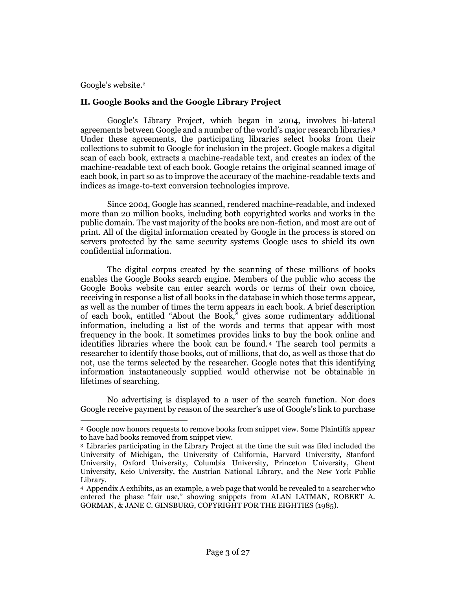#### Google's website.<sup>2</sup>

 $\overline{a}$ 

### **II. Google Books and the Google Library Project**

Google's Library Project, which began in 2004, involves bi-lateral agreements between Google and a number of the world's major research libraries.<sup>3</sup> Under these agreements, the participating libraries select books from their collections to submit to Google for inclusion in the project. Google makes a digital scan of each book, extracts a machine-readable text, and creates an index of the machine-readable text of each book. Google retains the original scanned image of each book, in part so as to improve the accuracy of the machine-readable texts and indices as image-to-text conversion technologies improve.

Since 2004, Google has scanned, rendered machine-readable, and indexed more than 20 million books, including both copyrighted works and works in the public domain. The vast majority of the books are non-fiction, and most are out of print. All of the digital information created by Google in the process is stored on servers protected by the same security systems Google uses to shield its own confidential information.

The digital corpus created by the scanning of these millions of books enables the Google Books search engine. Members of the public who access the Google Books website can enter search words or terms of their own choice, receiving in response a list of all books in the database in which those terms appear, as well as the number of times the term appears in each book. A brief description of each book, entitled "About the Book," gives some rudimentary additional information, including a list of the words and terms that appear with most frequency in the book. It sometimes provides links to buy the book online and identifies libraries where the book can be found. <sup>4</sup> The search tool permits a researcher to identify those books, out of millions, that do, as well as those that do not, use the terms selected by the researcher. Google notes that this identifying information instantaneously supplied would otherwise not be obtainable in lifetimes of searching.

No advertising is displayed to a user of the search function. Nor does Google receive payment by reason of the searcher's use of Google's link to purchase

<sup>2</sup> Google now honors requests to remove books from snippet view. Some Plaintiffs appear to have had books removed from snippet view.

<sup>3</sup> Libraries participating in the Library Project at the time the suit was filed included the University of Michigan, the University of California, Harvard University, Stanford University, Oxford University, Columbia University, Princeton University, Ghent University, Keio University, the Austrian National Library, and the New York Public Library.

<sup>4</sup> Appendix A exhibits, as an example, a web page that would be revealed to a searcher who entered the phase "fair use," showing snippets from ALAN LATMAN, ROBERT A. GORMAN, & JANE C. GINSBURG, COPYRIGHT FOR THE EIGHTIES (1985).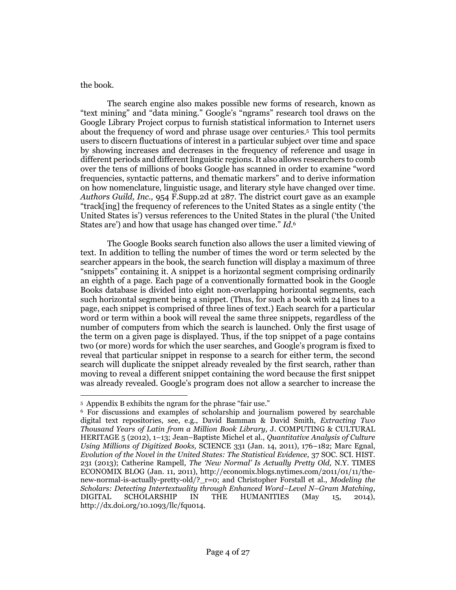### the book.

l

The search engine also makes possible new forms of research, known as "text mining" and "data mining." Google's "ngrams" research tool draws on the Google Library Project corpus to furnish statistical information to Internet users about the frequency of word and phrase usage over centuries.<sup>5</sup> This tool permits users to discern fluctuations of interest in a particular subject over time and space by showing increases and decreases in the frequency of reference and usage in different periods and different linguistic regions. It also allows researchers to comb over the tens of millions of books Google has scanned in order to examine "word frequencies, syntactic patterns, and thematic markers" and to derive information on how nomenclature, linguistic usage, and literary style have changed over time. *Authors Guild, Inc.,* [954 F.Supp.2d at 287.](http://www.westlaw.com/Link/Document/FullText?findType=Y&serNum=2031955706&pubNum=0004637&originatingDoc=I918674d4743311e5a807ad48145ed9f1&refType=RP&fi=co_pp_sp_4637_287&originationContext=document&vr=3.0&rs=cblt1.0&transitionType=DocumentItem&contextData=(sc.Search)#co_pp_sp_4637_287) The district court gave as an example "track[ing] the frequency of references to the United States as a single entity ('the United States is') versus references to the United States in the plural ('the United States are') and how that usage has changed over time." *Id.*<sup>6</sup>

The Google Books search function also allows the user a limited viewing of text. In addition to telling the number of times the word or term selected by the searcher appears in the book, the search function will display a maximum of three "snippets" containing it. A snippet is a horizontal segment comprising ordinarily an eighth of a page. Each page of a conventionally formatted book in the Google Books database is divided into eight non-overlapping horizontal segments, each such horizontal segment being a snippet. (Thus, for such a book with 24 lines to a page, each snippet is comprised of three lines of text.) Each search for a particular word or term within a book will reveal the same three snippets, regardless of the number of computers from which the search is launched. Only the first usage of the term on a given page is displayed. Thus, if the top snippet of a page contains two (or more) words for which the user searches, and Google's program is fixed to reveal that particular snippet in response to a search for either term, the second search will duplicate the snippet already revealed by the first search, rather than moving to reveal a different snippet containing the word because the first snippet was already revealed. Google's program does not allow a searcher to increase the

<sup>5</sup> Appendix B exhibits the ngram for the phrase "fair use."

<sup>6</sup> For discussions and examples of scholarship and journalism powered by searchable digital text repositories, see, e.g., David Bamman & David Smith, *Extracting Two Thousand Years of Latin from a Million Book Library,* J. COMPUTING & CULTURAL HERITAGE 5 (2012), 1–13; Jean–Baptiste Michel et al., *Quantitative Analysis of Culture Using Millions of Digitized Books,* SCIENCE 331 (Jan. 14, 2011), 176–182; Marc Egnal, *Evolution of the Novel in the United States: The Statistical Evidence,* 37 SOC. SCI. HIST. 231 (2013); Catherine Rampell, *The 'New Normal' Is Actually Pretty Old,* N.Y. TIMES ECONOMIX BLOG (Jan. 11, 2011), http://economix.blogs.nytimes.com/2011/01/11/thenew-normal-is-actually-pretty-old/?\_r=0; and Christopher Forstall et al., *Modeling the Scholars: Detecting Intertextuality through Enhanced Word–Level N–Gram Matching,* DIGITAL SCHOLARSHIP IN THE HUMANITIES (May 15, 2014), http://dx.doi.org/10.1093/llc/fqu014.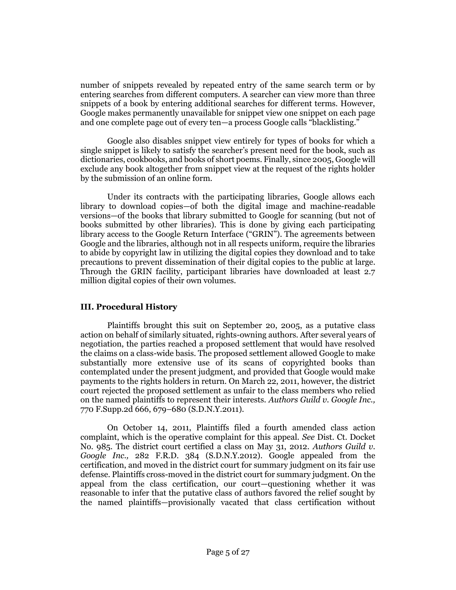number of snippets revealed by repeated entry of the same search term or by entering searches from different computers. A searcher can view more than three snippets of a book by entering additional searches for different terms. However, Google makes permanently unavailable for snippet view one snippet on each page and one complete page out of every ten—a process Google calls "blacklisting."

Google also disables snippet view entirely for types of books for which a single snippet is likely to satisfy the searcher's present need for the book, such as dictionaries, cookbooks, and books of short poems. Finally, since 2005, Google will exclude any book altogether from snippet view at the request of the rights holder by the submission of an online form.

Under its contracts with the participating libraries, Google allows each library to download copies—of both the digital image and machine-readable versions—of the books that library submitted to Google for scanning (but not of books submitted by other libraries). This is done by giving each participating library access to the Google Return Interface ("GRIN"). The agreements between Google and the libraries, although not in all respects uniform, require the libraries to abide by copyright law in utilizing the digital copies they download and to take precautions to prevent dissemination of their digital copies to the public at large. Through the GRIN facility, participant libraries have downloaded at least 2.7 million digital copies of their own volumes.

# **III. Procedural History**

Plaintiffs brought this suit on September 20, 2005, as a putative class action on behalf of similarly situated, rights-owning authors. After several years of negotiation, the parties reached a proposed settlement that would have resolved the claims on a class-wide basis. The proposed settlement allowed Google to make substantially more extensive use of its scans of copyrighted books than contemplated under the present judgment, and provided that Google would make payments to the rights holders in return. On March 22, 2011, however, the district court rejected the proposed settlement as unfair to the class members who relied on the named plaintiffs to represent their interests. *[Authors Guild v. Google Inc.,](http://www.westlaw.com/Link/Document/FullText?findType=Y&serNum=2024834838&pubNum=0004637&originatingDoc=I918674d4743311e5a807ad48145ed9f1&refType=RP&fi=co_pp_sp_4637_679&originationContext=document&vr=3.0&rs=cblt1.0&transitionType=DocumentItem&contextData=(sc.Search)#co_pp_sp_4637_679)* [770 F.Supp.2d 666, 679](http://www.westlaw.com/Link/Document/FullText?findType=Y&serNum=2024834838&pubNum=0004637&originatingDoc=I918674d4743311e5a807ad48145ed9f1&refType=RP&fi=co_pp_sp_4637_679&originationContext=document&vr=3.0&rs=cblt1.0&transitionType=DocumentItem&contextData=(sc.Search)#co_pp_sp_4637_679)–680 (S.D.N.Y.2011).

On October 14, 2011, Plaintiffs filed a fourth amended class action complaint, which is the operative complaint for this appeal. *See* Dist. Ct. Docket No. 985. The district court certified a class on May 31, 2012. *[Authors Guild v.](http://www.westlaw.com/Link/Document/FullText?findType=Y&serNum=2027811615&pubNum=0000344&originatingDoc=I918674d4743311e5a807ad48145ed9f1&refType=RP&originationContext=document&vr=3.0&rs=cblt1.0&transitionType=DocumentItem&contextData=(sc.Search))  Google Inc.,* [282 F.R.D. 384 \(S.D.N.Y.2012\).](http://www.westlaw.com/Link/Document/FullText?findType=Y&serNum=2027811615&pubNum=0000344&originatingDoc=I918674d4743311e5a807ad48145ed9f1&refType=RP&originationContext=document&vr=3.0&rs=cblt1.0&transitionType=DocumentItem&contextData=(sc.Search)) Google appealed from the certification, and moved in the district court for summary judgment on its fair use defense. Plaintiffs cross-moved in the district court for summary judgment. On the appeal from the class certification, our court—questioning whether it was reasonable to infer that the putative class of authors favored the relief sought by the named plaintiffs—provisionally vacated that class certification without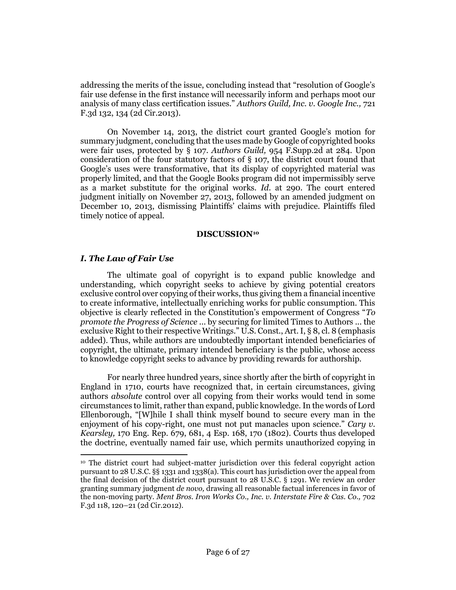addressing the merits of the issue, concluding instead that "resolution of Google's fair use defense in the first instance will necessarily inform and perhaps moot our analysis of many class certification issues." *[Authors Guild, Inc. v. Google Inc.,](http://www.westlaw.com/Link/Document/FullText?findType=Y&serNum=2030900799&pubNum=0000506&originatingDoc=I918674d4743311e5a807ad48145ed9f1&refType=RP&fi=co_pp_sp_506_134&originationContext=document&vr=3.0&rs=cblt1.0&transitionType=DocumentItem&contextData=(sc.Search)#co_pp_sp_506_134)* 721 [F.3d 132, 134 \(2d Cir.2013\).](http://www.westlaw.com/Link/Document/FullText?findType=Y&serNum=2030900799&pubNum=0000506&originatingDoc=I918674d4743311e5a807ad48145ed9f1&refType=RP&fi=co_pp_sp_506_134&originationContext=document&vr=3.0&rs=cblt1.0&transitionType=DocumentItem&contextData=(sc.Search)#co_pp_sp_506_134)

On November 14, 2013, the district court granted Google's motion for summary judgment, concluding that the uses made by Google of copyrighted books were fair uses, protected by [§ 107.](http://www.westlaw.com/Link/Document/FullText?findType=L&pubNum=1000546&cite=17USCAS107&originatingDoc=I918674d4743311e5a807ad48145ed9f1&refType=LQ&originationContext=document&vr=3.0&rs=cblt1.0&transitionType=DocumentItem&contextData=(sc.Search)) *Authors Guild,* [954 F.Supp.2d at 284.](http://www.westlaw.com/Link/Document/FullText?findType=Y&serNum=2031955706&pubNum=0004637&originatingDoc=I918674d4743311e5a807ad48145ed9f1&refType=RP&fi=co_pp_sp_4637_284&originationContext=document&vr=3.0&rs=cblt1.0&transitionType=DocumentItem&contextData=(sc.Search)#co_pp_sp_4637_284) Upon consideration of the four statutory factors of [§ 107,](http://www.westlaw.com/Link/Document/FullText?findType=L&pubNum=1000546&cite=17USCAS107&originatingDoc=I918674d4743311e5a807ad48145ed9f1&refType=LQ&originationContext=document&vr=3.0&rs=cblt1.0&transitionType=DocumentItem&contextData=(sc.Search)) the district court found that Google's uses were transformative, that its display of copyrighted material was properly limited, and that the Google Books program did not impermissibly serve as a market substitute for the original works. *Id.* [at 290.](http://www.westlaw.com/Link/Document/FullText?findType=Y&serNum=2031955706&pubNum=0004637&originatingDoc=I918674d4743311e5a807ad48145ed9f1&refType=RP&fi=co_pp_sp_4637_290&originationContext=document&vr=3.0&rs=cblt1.0&transitionType=DocumentItem&contextData=(sc.Search)#co_pp_sp_4637_290) The court entered judgment initially on November 27, 2013, followed by an amended judgment on December 10, 2013, dismissing Plaintiffs' claims with prejudice. Plaintiffs filed timely notice of appeal.

#### **DISCUSSION<sup>10</sup>**

#### *I. The Law of Fair Use*

 $\overline{\phantom{a}}$ 

The ultimate goal of copyright is to expand public knowledge and understanding, which copyright seeks to achieve by giving potential creators exclusive control over copying of their works, thus giving them a financial incentive to create informative, intellectually enriching works for public consumption. This objective is clearly reflected in the Constitution's empowerment of Congress "*To promote the Progress of Science* ... by securing for limited Times to Authors ... the exclusive Right to their respective Writings." [U.S. Const., Art. I, § 8, cl. 8](http://www.westlaw.com/Link/Document/FullText?findType=L&pubNum=1000583&cite=USCOARTIS8CL8&originatingDoc=I918674d4743311e5a807ad48145ed9f1&refType=LQ&originationContext=document&vr=3.0&rs=cblt1.0&transitionType=DocumentItem&contextData=(sc.Search)) (emphasis added). Thus, while authors are undoubtedly important intended beneficiaries of copyright, the ultimate, primary intended beneficiary is the public, whose access to knowledge copyright seeks to advance by providing rewards for authorship.

For nearly three hundred years, since shortly after the birth of copyright in England in 1710, courts have recognized that, in certain circumstances, giving authors *absolute* control over all copying from their works would tend in some circumstances to limit, rather than expand, public knowledge. In the words of Lord Ellenborough, "[W]hile I shall think myself bound to secure every man in the enjoyment of his copy-right, one must not put manacles upon science." *Cary v. Kearsley,* 170 Eng. Rep. 679, 681, 4 Esp. 168, 170 (1802). Courts thus developed the doctrine, eventually named fair use, which permits unauthorized copying in

<sup>&</sup>lt;sup>10</sup> The district court had subject-matter jurisdiction over this federal copyright action pursuant to [28 U.S.C. §§ 1331](http://www.westlaw.com/Link/Document/FullText?findType=L&pubNum=1000546&cite=28USCAS1331&originatingDoc=I918674d4743311e5a807ad48145ed9f1&refType=LQ&originationContext=document&vr=3.0&rs=cblt1.0&transitionType=DocumentItem&contextData=(sc.Search)) an[d 1338\(a\).](http://www.westlaw.com/Link/Document/FullText?findType=L&pubNum=1000546&cite=28USCAS1338&originatingDoc=I918674d4743311e5a807ad48145ed9f1&refType=RB&originationContext=document&vr=3.0&rs=cblt1.0&transitionType=DocumentItem&contextData=(sc.Search)#co_pp_8b3b0000958a4) This court has jurisdiction over the appeal from the final decision of the district court pursuant to [28 U.S.C. § 1291.](http://www.westlaw.com/Link/Document/FullText?findType=L&pubNum=1000546&cite=28USCAS1291&originatingDoc=I918674d4743311e5a807ad48145ed9f1&refType=LQ&originationContext=document&vr=3.0&rs=cblt1.0&transitionType=DocumentItem&contextData=(sc.Search)) We review an order granting summary judgment *de novo,* drawing all reasonable factual inferences in favor of the non-moving party. *[Ment Bros. Iron Works Co., Inc. v. Interstate Fire & Cas. Co.,](http://www.westlaw.com/Link/Document/FullText?findType=Y&serNum=2029392799&pubNum=0000506&originatingDoc=I918674d4743311e5a807ad48145ed9f1&refType=RP&fi=co_pp_sp_506_120&originationContext=document&vr=3.0&rs=cblt1.0&transitionType=DocumentItem&contextData=(sc.Search)#co_pp_sp_506_120)* 702 F.3d 118, 120–[21 \(2d Cir.2012\).](http://www.westlaw.com/Link/Document/FullText?findType=Y&serNum=2029392799&pubNum=0000506&originatingDoc=I918674d4743311e5a807ad48145ed9f1&refType=RP&fi=co_pp_sp_506_120&originationContext=document&vr=3.0&rs=cblt1.0&transitionType=DocumentItem&contextData=(sc.Search)#co_pp_sp_506_120)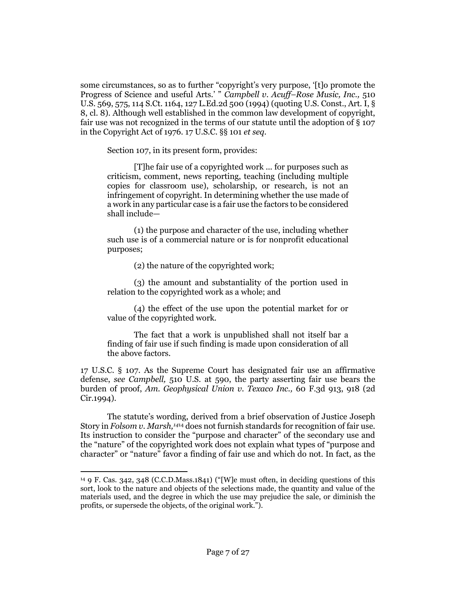some circumstances, so as to further "copyright's very purpose, '[t]o promote the Progress of Science and useful Arts.' " *[Campbell v. Acuff](http://www.westlaw.com/Link/Document/FullText?findType=Y&serNum=1994058334&pubNum=0000708&originatingDoc=I918674d4743311e5a807ad48145ed9f1&refType=RP&originationContext=document&vr=3.0&rs=cblt1.0&transitionType=DocumentItem&contextData=(sc.Search))–Rose Music, Inc.,* 510 [U.S. 569, 575, 114 S.Ct. 1164, 127 L.Ed.2d 500 \(1994\)](http://www.westlaw.com/Link/Document/FullText?findType=Y&serNum=1994058334&pubNum=0000708&originatingDoc=I918674d4743311e5a807ad48145ed9f1&refType=RP&originationContext=document&vr=3.0&rs=cblt1.0&transitionType=DocumentItem&contextData=(sc.Search)) (quoting [U.S. Const., Art. I, §](http://www.westlaw.com/Link/Document/FullText?findType=L&pubNum=1000583&cite=USCOARTIS8CL8&originatingDoc=I918674d4743311e5a807ad48145ed9f1&refType=LQ&originationContext=document&vr=3.0&rs=cblt1.0&transitionType=DocumentItem&contextData=(sc.Search))  [8, cl. 8\)](http://www.westlaw.com/Link/Document/FullText?findType=L&pubNum=1000583&cite=USCOARTIS8CL8&originatingDoc=I918674d4743311e5a807ad48145ed9f1&refType=LQ&originationContext=document&vr=3.0&rs=cblt1.0&transitionType=DocumentItem&contextData=(sc.Search)). Although well established in the common law development of copyright, fair use was not recognized in the terms of our statute until the adoption of § 107 in the Copyright Act of 1976[. 17 U.S.C. §§ 101](http://www.westlaw.com/Link/Document/FullText?findType=L&pubNum=1000546&cite=17USCAS101&originatingDoc=I918674d4743311e5a807ad48145ed9f1&refType=LQ&originationContext=document&vr=3.0&rs=cblt1.0&transitionType=DocumentItem&contextData=(sc.Search)) *et seq.*

[Section 107,](http://www.westlaw.com/Link/Document/FullText?findType=L&pubNum=1000546&cite=17USCAS107&originatingDoc=I918674d4743311e5a807ad48145ed9f1&refType=LQ&originationContext=document&vr=3.0&rs=cblt1.0&transitionType=DocumentItem&contextData=(sc.Search)) in its present form, provides:

[T]he fair use of a copyrighted work ... for purposes such as criticism, comment, news reporting, teaching (including multiple copies for classroom use), scholarship, or research, is not an infringement of copyright. In determining whether the use made of a work in any particular case is a fair use the factors to be considered shall include—

(1) the purpose and character of the use, including whether such use is of a commercial nature or is for nonprofit educational purposes;

(2) the nature of the copyrighted work;

(3) the amount and substantiality of the portion used in relation to the copyrighted work as a whole; and

(4) the effect of the use upon the potential market for or value of the copyrighted work.

The fact that a work is unpublished shall not itself bar a finding of fair use if such finding is made upon consideration of all the above factors.

[17 U.S.C. § 107.](http://www.westlaw.com/Link/Document/FullText?findType=L&pubNum=1000546&cite=17USCAS107&originatingDoc=I918674d4743311e5a807ad48145ed9f1&refType=LQ&originationContext=document&vr=3.0&rs=cblt1.0&transitionType=DocumentItem&contextData=(sc.Search)) As the Supreme Court has designated fair use an affirmative defense, *see Campbell,* [510 U.S. at 590, t](http://www.westlaw.com/Link/Document/FullText?findType=Y&serNum=1994058334&pubNum=0000708&originatingDoc=I918674d4743311e5a807ad48145ed9f1&refType=RP&originationContext=document&vr=3.0&rs=cblt1.0&transitionType=DocumentItem&contextData=(sc.Search))he party asserting fair use bears the burden of proof, *[Am. Geophysical Union v. Texaco Inc.,](http://www.westlaw.com/Link/Document/FullText?findType=Y&serNum=1995151761&pubNum=0000506&originatingDoc=I918674d4743311e5a807ad48145ed9f1&refType=RP&fi=co_pp_sp_506_918&originationContext=document&vr=3.0&rs=cblt1.0&transitionType=DocumentItem&contextData=(sc.Search)#co_pp_sp_506_918)* 60 F.3d 913, 918 (2d [Cir.1994\).](http://www.westlaw.com/Link/Document/FullText?findType=Y&serNum=1995151761&pubNum=0000506&originatingDoc=I918674d4743311e5a807ad48145ed9f1&refType=RP&fi=co_pp_sp_506_918&originationContext=document&vr=3.0&rs=cblt1.0&transitionType=DocumentItem&contextData=(sc.Search)#co_pp_sp_506_918)

The statute's wording, derived from a brief observation of Justice Joseph Story in *Folsom v. Marsh,14*[14](#page-7-0) does not furnish standards for recognition of fair use. Its instruction to consider the "purpose and character" of the secondary use and the "nature" of the copyrighted work does not explain what types of "purpose and character" or "nature" favor a finding of fair use and which do not. In fact, as the

 $\overline{a}$ 

<sup>14</sup> [9 F. Cas. 342, 348 \(C.C.D.Mass.1841\)](http://www.westlaw.com/Link/Document/FullText?findType=Y&serNum=1800116268&pubNum=0000349&originatingDoc=I918674d4743311e5a807ad48145ed9f1&refType=RP&fi=co_pp_sp_349_348&originationContext=document&vr=3.0&rs=cblt1.0&transitionType=DocumentItem&contextData=(sc.Search)#co_pp_sp_349_348) ("[W]e must often, in deciding questions of this sort, look to the nature and objects of the selections made, the quantity and value of the materials used, and the degree in which the use may prejudice the sale, or diminish the profits, or supersede the objects, of the original work.").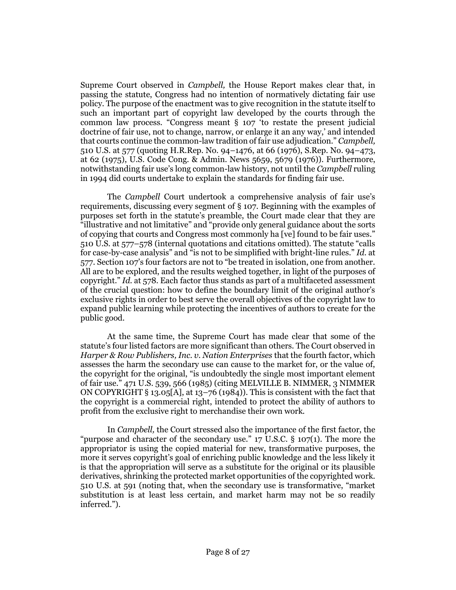Supreme Court observed in *Campbell,* the House Report makes clear that, in passing the statute, Congress had no intention of normatively dictating fair use policy. The purpose of the enactment was to give recognition in the statute itself to such an important part of copyright law developed by the courts through the common law process. "Congress meant [§ 107](http://www.westlaw.com/Link/Document/FullText?findType=L&pubNum=1000546&cite=17USCAS107&originatingDoc=I918674d4743311e5a807ad48145ed9f1&refType=LQ&originationContext=document&vr=3.0&rs=cblt1.0&transitionType=DocumentItem&contextData=(sc.Search)) 'to restate the present judicial doctrine of fair use, not to change, narrow, or enlarge it an any way,' and intended that courts continue the common-law tradition of fair use adjudication." *[Campbell,](http://www.westlaw.com/Link/Document/FullText?findType=Y&serNum=1994058334&pubNum=0000708&originatingDoc=I918674d4743311e5a807ad48145ed9f1&refType=RP&originationContext=document&vr=3.0&rs=cblt1.0&transitionType=DocumentItem&contextData=(sc.Search))* [510 U.S. at 577](http://www.westlaw.com/Link/Document/FullText?findType=Y&serNum=1994058334&pubNum=0000708&originatingDoc=I918674d4743311e5a807ad48145ed9f1&refType=RP&originationContext=document&vr=3.0&rs=cblt1.0&transitionType=DocumentItem&contextData=(sc.Search)) (quoting [H.R.Rep. No. 94](http://www.westlaw.com/Link/Document/FullText?findType=Y&serNum=0100747631&pubNum=0100014&originatingDoc=I918674d4743311e5a807ad48145ed9f1&refType=TV&originationContext=document&vr=3.0&rs=cblt1.0&transitionType=DocumentItem&contextData=(sc.Search))–1476, at 66 (1976), [S.Rep. No. 94](http://www.westlaw.com/Link/Document/FullText?findType=Y&pubNum=0001503&cite=SREP94-473&originatingDoc=I918674d4743311e5a807ad48145ed9f1&refType=TV&originationContext=document&vr=3.0&rs=cblt1.0&transitionType=DocumentItem&contextData=(sc.Search))–473, [at 62](http://www.westlaw.com/Link/Document/FullText?findType=Y&pubNum=0001503&cite=SREP94-473&originatingDoc=I918674d4743311e5a807ad48145ed9f1&refType=TV&originationContext=document&vr=3.0&rs=cblt1.0&transitionType=DocumentItem&contextData=(sc.Search)) (1975), U.S. Code Cong. & Admin. News 5659, 5679 (1976)). Furthermore, notwithstanding fair use's long common-law history, not until the *Campbell* ruling in 1994 did courts undertake to explain the standards for finding fair use.

<span id="page-7-0"></span>The *Campbell* Court undertook a comprehensive analysis of fair use's requirements, discussing every segment of [§ 107.](http://www.westlaw.com/Link/Document/FullText?findType=L&pubNum=1000546&cite=17USCAS107&originatingDoc=I918674d4743311e5a807ad48145ed9f1&refType=LQ&originationContext=document&vr=3.0&rs=cblt1.0&transitionType=DocumentItem&contextData=(sc.Search)) Beginning with the examples of purposes set forth in the statute's preamble, the Court made clear that they are "illustrative and not limitative" and "provide only general guidance about the sorts of copying that courts and Congress most commonly ha [ve] found to be fair uses." [510 U.S. at 577](http://www.westlaw.com/Link/Document/FullText?findType=Y&serNum=1994058334&pubNum=0000708&originatingDoc=I918674d4743311e5a807ad48145ed9f1&refType=RP&originationContext=document&vr=3.0&rs=cblt1.0&transitionType=DocumentItem&contextData=(sc.Search))–578 (internal quotations and citations omitted). The statute "calls for case-by-case analysis" and "is not to be simplified with bright-line rules." *[Id.](http://www.westlaw.com/Link/Document/FullText?findType=Y&serNum=1994058334&pubNum=0000708&originatingDoc=I918674d4743311e5a807ad48145ed9f1&refType=RP&originationContext=document&vr=3.0&rs=cblt1.0&transitionType=DocumentItem&contextData=(sc.Search))* at [577.](http://www.westlaw.com/Link/Document/FullText?findType=Y&serNum=1994058334&pubNum=0000708&originatingDoc=I918674d4743311e5a807ad48145ed9f1&refType=RP&originationContext=document&vr=3.0&rs=cblt1.0&transitionType=DocumentItem&contextData=(sc.Search)) [Section 107](http://www.westlaw.com/Link/Document/FullText?findType=L&pubNum=1000546&cite=17USCAS107&originatingDoc=I918674d4743311e5a807ad48145ed9f1&refType=LQ&originationContext=document&vr=3.0&rs=cblt1.0&transitionType=DocumentItem&contextData=(sc.Search))'s four factors are not to "be treated in isolation, one from another. All are to be explored, and the results weighed together, in light of the purposes of copyright." *Id.* [at 578.](http://www.westlaw.com/Link/Document/FullText?findType=Y&serNum=1994058334&pubNum=0000708&originatingDoc=I918674d4743311e5a807ad48145ed9f1&refType=RP&originationContext=document&vr=3.0&rs=cblt1.0&transitionType=DocumentItem&contextData=(sc.Search)) Each factor thus stands as part of a multifaceted assessment of the crucial question: how to define the boundary limit of the original author's exclusive rights in order to best serve the overall objectives of the copyright law to expand public learning while protecting the incentives of authors to create for the public good.

At the same time, the Supreme Court has made clear that some of the statute's four listed factors are more significant than others. The Court observed in *Harper & Row Publishers, Inc. v. Nation Enterprises* that the fourth factor, which assesses the harm the secondary use can cause to the market for, or the value of, the copyright for the original, "is undoubtedly the single most important element of fair use." [471 U.S. 539, 566 \(1985\)](http://www.westlaw.com/Link/Document/FullText?findType=Y&serNum=1985125844&pubNum=0000708&originatingDoc=I918674d4743311e5a807ad48145ed9f1&refType=RP&originationContext=document&vr=3.0&rs=cblt1.0&transitionType=DocumentItem&contextData=(sc.Search)) (citing MELVILLE B. NIMMER, 3 NIMMER ON COPYRIGHT § 13.05[A], at 13–76 (1984)). This is consistent with the fact that the copyright is a commercial right, intended to protect the ability of authors to profit from the exclusive right to merchandise their own work.

In *Campbell,* the Court stressed also the importance of the first factor, the "purpose and character of the secondary use." [17 U.S.C. § 107\(1\).](http://www.westlaw.com/Link/Document/FullText?findType=L&pubNum=1000546&cite=17USCAS107&originatingDoc=I918674d4743311e5a807ad48145ed9f1&refType=RB&originationContext=document&vr=3.0&rs=cblt1.0&transitionType=DocumentItem&contextData=(sc.Search)#co_pp_f1c50000821b0) The more the appropriator is using the copied material for new, transformative purposes, the more it serves copyright's goal of enriching public knowledge and the less likely it is that the appropriation will serve as a substitute for the original or its plausible derivatives, shrinking the protected market opportunities of the copyrighted work. [510 U.S. at 591](http://www.westlaw.com/Link/Document/FullText?findType=Y&serNum=1994058334&pubNum=0000708&originatingDoc=I918674d4743311e5a807ad48145ed9f1&refType=RP&originationContext=document&vr=3.0&rs=cblt1.0&transitionType=DocumentItem&contextData=(sc.Search)) (noting that, when the secondary use is transformative, "market substitution is at least less certain, and market harm may not be so readily inferred.").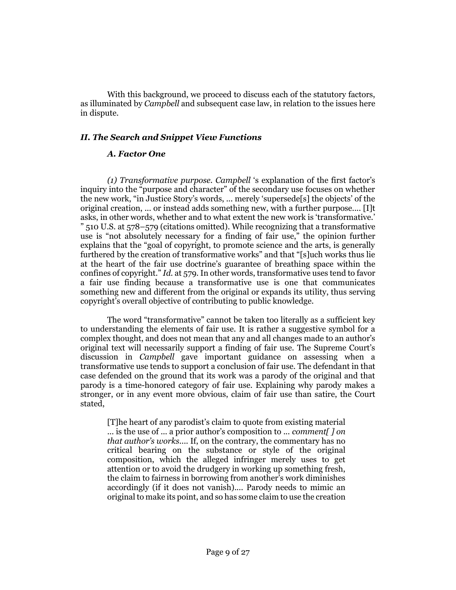With this background, we proceed to discuss each of the statutory factors, as illuminated by *Campbell* and subsequent case law, in relation to the issues here in dispute.

# *II. The Search and Snippet View Functions*

# *A. Factor One*

*(1) Transformative purpose. Campbell* 's explanation of the first factor's inquiry into the "purpose and character" of the secondary use focuses on whether the new work, "in Justice Story's words, ... merely 'supersede[s] the objects' of the original creation, ... or instead adds something new, with a further purpose.... [I]t asks, in other words, whether and to what extent the new work is 'transformative.' " [510 U.S. at 578](http://www.westlaw.com/Link/Document/FullText?findType=Y&serNum=1994058334&pubNum=0000708&originatingDoc=I918674d4743311e5a807ad48145ed9f1&refType=RP&originationContext=document&vr=3.0&rs=cblt1.0&transitionType=DocumentItem&contextData=(sc.Search))–579 (citations omitted). While recognizing that a transformative use is "not absolutely necessary for a finding of fair use," the opinion further explains that the "goal of copyright, to promote science and the arts, is generally furthered by the creation of transformative works" and that "[s]uch works thus lie at the heart of the fair use doctrine's guarantee of breathing space within the confines of copyright." *Id.* [at 579.](http://www.westlaw.com/Link/Document/FullText?findType=Y&serNum=1994058334&pubNum=0000708&originatingDoc=I918674d4743311e5a807ad48145ed9f1&refType=RP&originationContext=document&vr=3.0&rs=cblt1.0&transitionType=DocumentItem&contextData=(sc.Search)) In other words, transformative uses tend to favor a fair use finding because a transformative use is one that communicates something new and different from the original or expands its utility, thus serving copyright's overall objective of contributing to public knowledge.

The word "transformative" cannot be taken too literally as a sufficient key to understanding the elements of fair use. It is rather a suggestive symbol for a complex thought, and does not mean that any and all changes made to an author's original text will necessarily support a finding of fair use. The Supreme Court's discussion in *Campbell* gave important guidance on assessing when a transformative use tends to support a conclusion of fair use. The defendant in that case defended on the ground that its work was a parody of the original and that parody is a time-honored category of fair use. Explaining why parody makes a stronger, or in any event more obvious, claim of fair use than satire, the Court stated,

[T]he heart of any parodist's claim to quote from existing material ... is the use of ... a prior author's composition to ... *comment[ ] on that author's works*.... If, on the contrary, the commentary has no critical bearing on the substance or style of the original composition, which the alleged infringer merely uses to get attention or to avoid the drudgery in working up something fresh, the claim to fairness in borrowing from another's work diminishes accordingly (if it does not vanish).... Parody needs to mimic an original to make its point, and so has some claim to use the creation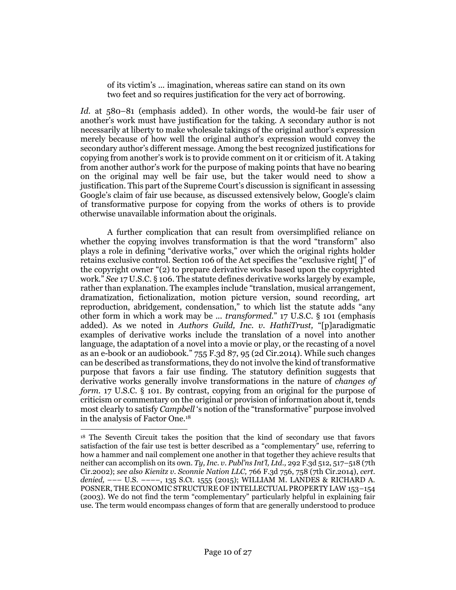of its victim's ... imagination, whereas satire can stand on its own two feet and so requires justification for the very act of borrowing.

*Id.* [at 580](http://www.westlaw.com/Link/Document/FullText?findType=Y&serNum=1994058334&pubNum=0000708&originatingDoc=I918674d4743311e5a807ad48145ed9f1&refType=RP&originationContext=document&vr=3.0&rs=cblt1.0&transitionType=DocumentItem&contextData=(sc.Search))–81 (emphasis added). In other words, the would-be fair user of another's work must have justification for the taking. A secondary author is not necessarily at liberty to make wholesale takings of the original author's expression merely because of how well the original author's expression would convey the secondary author's different message. Among the best recognized justifications for copying from another's work is to provide comment on it or criticism of it. A taking from another author's work for the purpose of making points that have no bearing on the original may well be fair use, but the taker would need to show a justification. This part of the Supreme Court's discussion is significant in assessing Google's claim of fair use because, as discussed extensively below, Google's claim of transformative purpose for copying from the works of others is to provide otherwise unavailable information about the originals.

A further complication that can result from oversimplified reliance on whether the copying involves transformation is that the word "transform" also plays a role in defining "derivative works," over which the original rights holder retains exclusive control. Section 106 of the Act specifies the "exclusive right[ ]" of the copyright owner "(2) to prepare derivative works based upon the copyrighted work." *See* [17 U.S.C. § 106.](http://www.westlaw.com/Link/Document/FullText?findType=L&pubNum=1000546&cite=17USCAS106&originatingDoc=I918674d4743311e5a807ad48145ed9f1&refType=LQ&originationContext=document&vr=3.0&rs=cblt1.0&transitionType=DocumentItem&contextData=(sc.Search)) The statute defines derivative works largely by example, rather than explanation. The examples include "translation, musical arrangement, dramatization, fictionalization, motion picture version, sound recording, art reproduction, abridgement, condensation," to which list the statute adds "any other form in which a work may be ... *transformed.*" [17 U.S.C. § 101](http://www.westlaw.com/Link/Document/FullText?findType=L&pubNum=1000546&cite=17USCAS101&originatingDoc=I918674d4743311e5a807ad48145ed9f1&refType=LQ&originationContext=document&vr=3.0&rs=cblt1.0&transitionType=DocumentItem&contextData=(sc.Search)) (emphasis added). As we noted in *Authors Guild, Inc. v. HathiTrust,* "[p]aradigmatic examples of derivative works include the translation of a novel into another language, the adaptation of a novel into a movie or play, or the recasting of a novel as an e-book or an audiobook." [755 F.3d 87, 95 \(2d Cir.2014\).](http://www.westlaw.com/Link/Document/FullText?findType=Y&serNum=2033553689&pubNum=0000506&originatingDoc=I918674d4743311e5a807ad48145ed9f1&refType=RP&fi=co_pp_sp_506_95&originationContext=document&vr=3.0&rs=cblt1.0&transitionType=DocumentItem&contextData=(sc.Search)#co_pp_sp_506_95) While such changes can be described as transformations, they do not involve the kind of transformative purpose that favors a fair use finding. The statutory definition suggests that derivative works generally involve transformations in the nature of *changes of form.* [17 U.S.C. § 101.](http://www.westlaw.com/Link/Document/FullText?findType=L&pubNum=1000546&cite=17USCAS101&originatingDoc=I918674d4743311e5a807ad48145ed9f1&refType=LQ&originationContext=document&vr=3.0&rs=cblt1.0&transitionType=DocumentItem&contextData=(sc.Search)) By contrast, copying from an original for the purpose of criticism or commentary on the original or provision of information about it, tends most clearly to satisfy *Campbell* 's notion of the "transformative" purpose involved in the analysis of Factor One.<sup>18</sup>

 $\overline{\phantom{a}}$ 

<sup>&</sup>lt;sup>18</sup> The Seventh Circuit takes the position that the kind of secondary use that favors satisfaction of the fair use test is better described as a "complementary" use, referring to how a hammer and nail complement one another in that together they achieve results that neither can accomplish on its own. *[Ty, Inc. v. Publ'ns Int'l, Ltd.,](http://www.westlaw.com/Link/Document/FullText?findType=Y&serNum=2002337550&pubNum=0000506&originatingDoc=I918674d4743311e5a807ad48145ed9f1&refType=RP&fi=co_pp_sp_506_517&originationContext=document&vr=3.0&rs=cblt1.0&transitionType=DocumentItem&contextData=(sc.Search)#co_pp_sp_506_517)* 292 F.3d 512, 517–518 (7th [Cir.2002\);](http://www.westlaw.com/Link/Document/FullText?findType=Y&serNum=2002337550&pubNum=0000506&originatingDoc=I918674d4743311e5a807ad48145ed9f1&refType=RP&fi=co_pp_sp_506_517&originationContext=document&vr=3.0&rs=cblt1.0&transitionType=DocumentItem&contextData=(sc.Search)#co_pp_sp_506_517) *see also [Kienitz v. Sconnie Nation LLC,](http://www.westlaw.com/Link/Document/FullText?findType=Y&serNum=2034327745&pubNum=0000506&originatingDoc=I918674d4743311e5a807ad48145ed9f1&refType=RP&fi=co_pp_sp_506_758&originationContext=document&vr=3.0&rs=cblt1.0&transitionType=DocumentItem&contextData=(sc.Search)#co_pp_sp_506_758)* 766 F.3d 756, 758 (7th Cir.2014), *cert. denied,* ––– U.S. ––––, [135 S.Ct. 1555](http://www.westlaw.com/Link/Document/FullText?findType=Y&serNum=2035263736&pubNum=0000708&originatingDoc=I918674d4743311e5a807ad48145ed9f1&refType=RP&originationContext=document&vr=3.0&rs=cblt1.0&transitionType=DocumentItem&contextData=(sc.Search)) (2015); WILLIAM M. LANDES & RICHARD A. POSNER, THE ECONOMIC STRUCTURE OF INTELLECTUAL PROPERTY LAW 153–154 (2003). We do not find the term "complementary" particularly helpful in explaining fair use. The term would encompass changes of form that are generally understood to produce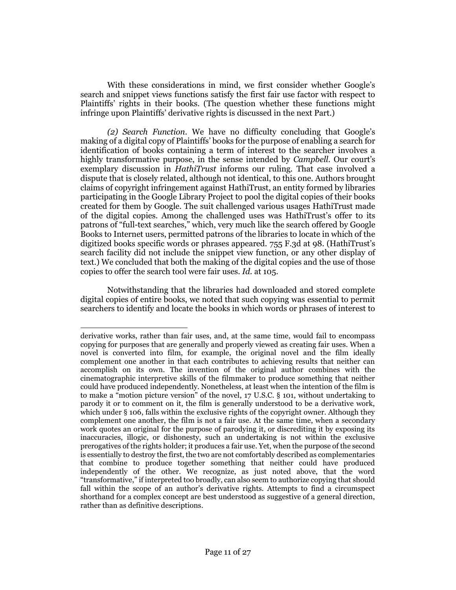With these considerations in mind, we first consider whether Google's search and snippet views functions satisfy the first fair use factor with respect to Plaintiffs' rights in their books. (The question whether these functions might infringe upon Plaintiffs' derivative rights is discussed in the next Part.)

*(2) Search Function.* We have no difficulty concluding that Google's making of a digital copy of Plaintiffs' books for the purpose of enabling a search for identification of books containing a term of interest to the searcher involves a highly transformative purpose, in the sense intended by *Campbell.* Our court's exemplary discussion in *HathiTrust* informs our ruling. That case involved a dispute that is closely related, although not identical, to this one. Authors brought claims of copyright infringement against HathiTrust, an entity formed by libraries participating in the Google Library Project to pool the digital copies of their books created for them by Google. The suit challenged various usages HathiTrust made of the digital copies. Among the challenged uses was HathiTrust's offer to its patrons of "full-text searches," which, very much like the search offered by Google Books to Internet users, permitted patrons of the libraries to locate in which of the digitized books specific words or phrases appeared. [755 F.3d at 98](http://www.westlaw.com/Link/Document/FullText?findType=Y&serNum=2033553689&pubNum=0000506&originatingDoc=I918674d4743311e5a807ad48145ed9f1&refType=RP&fi=co_pp_sp_506_98&originationContext=document&vr=3.0&rs=cblt1.0&transitionType=DocumentItem&contextData=(sc.Search)#co_pp_sp_506_98). (HathiTrust's search facility did not include the snippet view function, or any other display of text.) We concluded that both the making of the digital copies and the use of those copies to offer the search tool were fair uses. *Id.* [at 105.](http://www.westlaw.com/Link/Document/FullText?findType=Y&serNum=2033553689&pubNum=0000506&originatingDoc=I918674d4743311e5a807ad48145ed9f1&refType=RP&fi=co_pp_sp_506_105&originationContext=document&vr=3.0&rs=cblt1.0&transitionType=DocumentItem&contextData=(sc.Search)#co_pp_sp_506_105)

Notwithstanding that the libraries had downloaded and stored complete digital copies of entire books, we noted that such copying was essential to permit searchers to identify and locate the books in which words or phrases of interest to

 $\overline{a}$ derivative works, rather than fair uses, and, at the same time, would fail to encompass copying for purposes that are generally and properly viewed as creating fair uses. When a novel is converted into film, for example, the original novel and the film ideally complement one another in that each contributes to achieving results that neither can accomplish on its own. The invention of the original author combines with the cinematographic interpretive skills of the filmmaker to produce something that neither could have produced independently. Nonetheless, at least when the intention of the film is to make a "motion picture version" of the novel, [17 U.S.C. § 101,](http://www.westlaw.com/Link/Document/FullText?findType=L&pubNum=1000546&cite=17USCAS101&originatingDoc=I918674d4743311e5a807ad48145ed9f1&refType=LQ&originationContext=document&vr=3.0&rs=cblt1.0&transitionType=DocumentItem&contextData=(sc.Search)) without undertaking to parody it or to comment on it, the film is generally understood to be a derivative work, which under [§ 106,](http://www.westlaw.com/Link/Document/FullText?findType=L&pubNum=1000546&cite=17USCAS106&originatingDoc=I918674d4743311e5a807ad48145ed9f1&refType=LQ&originationContext=document&vr=3.0&rs=cblt1.0&transitionType=DocumentItem&contextData=(sc.Search)) falls within the exclusive rights of the copyright owner. Although they complement one another, the film is not a fair use. At the same time, when a secondary work quotes an original for the purpose of parodying it, or discrediting it by exposing its inaccuracies, illogic, or dishonesty, such an undertaking is not within the exclusive prerogatives of the rights holder; it produces a fair use. Yet, when the purpose of the second is essentially to destroy the first, the two are not comfortably described as complementaries that combine to produce together something that neither could have produced independently of the other. We recognize, as just noted above, that the word "transformative," if interpreted too broadly, can also seem to authorize copying that should fall within the scope of an author's derivative rights. Attempts to find a circumspect shorthand for a complex concept are best understood as suggestive of a general direction, rather than as definitive descriptions.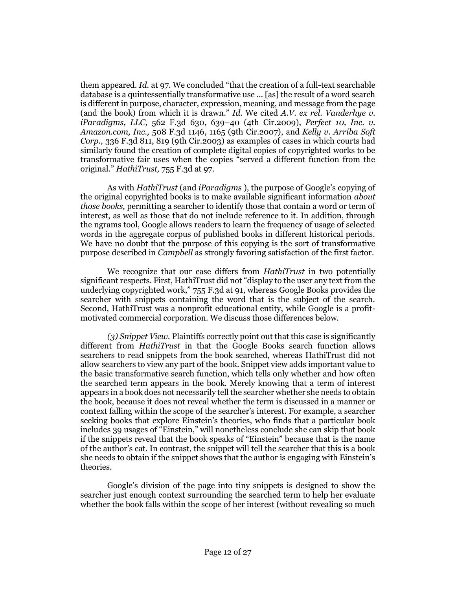them appeared. *Id.* [at 97](http://www.westlaw.com/Link/Document/FullText?findType=Y&serNum=2033553689&pubNum=0000506&originatingDoc=I918674d4743311e5a807ad48145ed9f1&refType=RP&fi=co_pp_sp_506_97&originationContext=document&vr=3.0&rs=cblt1.0&transitionType=DocumentItem&contextData=(sc.Search)#co_pp_sp_506_97). We concluded "that the creation of a full-text searchable database is a quintessentially transformative use ... [as] the result of a word search is different in purpose, character, expression, meaning, and message from the page (and the book) from which it is drawn." *Id.* We cited *[A.V. ex rel. Vanderhye v.](http://www.westlaw.com/Link/Document/FullText?findType=Y&serNum=2018615065&pubNum=0000506&originatingDoc=I918674d4743311e5a807ad48145ed9f1&refType=RP&fi=co_pp_sp_506_639&originationContext=document&vr=3.0&rs=cblt1.0&transitionType=DocumentItem&contextData=(sc.Search)#co_pp_sp_506_639)  iParadigms, LLC,* [562 F.3d 630, 639](http://www.westlaw.com/Link/Document/FullText?findType=Y&serNum=2018615065&pubNum=0000506&originatingDoc=I918674d4743311e5a807ad48145ed9f1&refType=RP&fi=co_pp_sp_506_639&originationContext=document&vr=3.0&rs=cblt1.0&transitionType=DocumentItem&contextData=(sc.Search)#co_pp_sp_506_639)–40 (4th Cir.2009), *[Perfect 10, Inc. v.](http://www.westlaw.com/Link/Document/FullText?findType=Y&serNum=2014245836&pubNum=0000506&originatingDoc=I918674d4743311e5a807ad48145ed9f1&refType=RP&fi=co_pp_sp_506_1165&originationContext=document&vr=3.0&rs=cblt1.0&transitionType=DocumentItem&contextData=(sc.Search)#co_pp_sp_506_1165)  Amazon.com, Inc.,* [508 F.3d 1146, 1165 \(9th Cir.2007\),](http://www.westlaw.com/Link/Document/FullText?findType=Y&serNum=2014245836&pubNum=0000506&originatingDoc=I918674d4743311e5a807ad48145ed9f1&refType=RP&fi=co_pp_sp_506_1165&originationContext=document&vr=3.0&rs=cblt1.0&transitionType=DocumentItem&contextData=(sc.Search)#co_pp_sp_506_1165) and *[Kelly v. Arriba Soft](http://www.westlaw.com/Link/Document/FullText?findType=Y&serNum=2003469492&pubNum=0000506&originatingDoc=I918674d4743311e5a807ad48145ed9f1&refType=RP&fi=co_pp_sp_506_819&originationContext=document&vr=3.0&rs=cblt1.0&transitionType=DocumentItem&contextData=(sc.Search)#co_pp_sp_506_819)  Corp.,* [336 F.3d 811, 819 \(9th Cir.2003\)](http://www.westlaw.com/Link/Document/FullText?findType=Y&serNum=2003469492&pubNum=0000506&originatingDoc=I918674d4743311e5a807ad48145ed9f1&refType=RP&fi=co_pp_sp_506_819&originationContext=document&vr=3.0&rs=cblt1.0&transitionType=DocumentItem&contextData=(sc.Search)#co_pp_sp_506_819) as examples of cases in which courts had similarly found the creation of complete digital copies of copyrighted works to be transformative fair uses when the copies "served a different function from the original." *HathiTrust,* [755 F.3d at 97.](http://www.westlaw.com/Link/Document/FullText?findType=Y&serNum=2033553689&pubNum=0000506&originatingDoc=I918674d4743311e5a807ad48145ed9f1&refType=RP&fi=co_pp_sp_506_97&originationContext=document&vr=3.0&rs=cblt1.0&transitionType=DocumentItem&contextData=(sc.Search)#co_pp_sp_506_97)

As with *HathiTrust* (and *iParadigms* ), the purpose of Google's copying of the original copyrighted books is to make available significant information *about those books,* permitting a searcher to identify those that contain a word or term of interest, as well as those that do not include reference to it. In addition, through the ngrams tool, Google allows readers to learn the frequency of usage of selected words in the aggregate corpus of published books in different historical periods. We have no doubt that the purpose of this copying is the sort of transformative purpose described in *Campbell* as strongly favoring satisfaction of the first factor.

We recognize that our case differs from *HathiTrust* in two potentially significant respects. First, HathiTrust did not "display to the user any text from the underlying copyrighted work," [755 F.3d at 91,](http://www.westlaw.com/Link/Document/FullText?findType=Y&serNum=2033553689&pubNum=0000506&originatingDoc=I918674d4743311e5a807ad48145ed9f1&refType=RP&fi=co_pp_sp_506_91&originationContext=document&vr=3.0&rs=cblt1.0&transitionType=DocumentItem&contextData=(sc.Search)#co_pp_sp_506_91) whereas Google Books provides the searcher with snippets containing the word that is the subject of the search. Second, HathiTrust was a nonprofit educational entity, while Google is a profitmotivated commercial corporation. We discuss those differences below.

*(3) Snippet View.* Plaintiffs correctly point out that this case is significantly different from *HathiTrust* in that the Google Books search function allows searchers to read snippets from the book searched, whereas HathiTrust did not allow searchers to view any part of the book. Snippet view adds important value to the basic transformative search function, which tells only whether and how often the searched term appears in the book. Merely knowing that a term of interest appears in a book does not necessarily tell the searcher whether she needs to obtain the book, because it does not reveal whether the term is discussed in a manner or context falling within the scope of the searcher's interest. For example, a searcher seeking books that explore Einstein's theories, who finds that a particular book includes 39 usages of "Einstein," will nonetheless conclude she can skip that book if the snippets reveal that the book speaks of "Einstein" because that is the name of the author's cat. In contrast, the snippet will tell the searcher that this is a book she needs to obtain if the snippet shows that the author is engaging with Einstein's theories.

Google's division of the page into tiny snippets is designed to show the searcher just enough context surrounding the searched term to help her evaluate whether the book falls within the scope of her interest (without revealing so much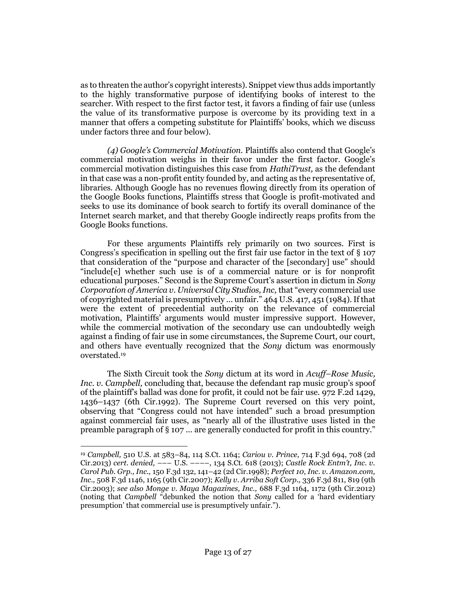as to threaten the author's copyright interests). Snippet view thus adds importantly to the highly transformative purpose of identifying books of interest to the searcher. With respect to the first factor test, it favors a finding of fair use (unless the value of its transformative purpose is overcome by its providing text in a manner that offers a competing substitute for Plaintiffs' books, which we discuss under factors three and four below).

*(4) Google's Commercial Motivation.* Plaintiffs also contend that Google's commercial motivation weighs in their favor under the first factor. Google's commercial motivation distinguishes this case from *HathiTrust,* as the defendant in that case was a non-profit entity founded by, and acting as the representative of, libraries. Although Google has no revenues flowing directly from its operation of the Google Books functions, Plaintiffs stress that Google is profit-motivated and seeks to use its dominance of book search to fortify its overall dominance of the Internet search market, and that thereby Google indirectly reaps profits from the Google Books functions.

For these arguments Plaintiffs rely primarily on two sources. First is Congress's specification in spelling out the first fair use factor in the text of [§ 107](http://www.westlaw.com/Link/Document/FullText?findType=L&pubNum=1000546&cite=17USCAS107&originatingDoc=I918674d4743311e5a807ad48145ed9f1&refType=LQ&originationContext=document&vr=3.0&rs=cblt1.0&transitionType=DocumentItem&contextData=(sc.Search)) that consideration of the "purpose and character of the [secondary] use" should "include[e] whether such use is of a commercial nature or is for nonprofit educational purposes." Second is the Supreme Court's assertion in dictum in *Sony Corporation of America v. Universal City Studios, Inc,* that "every commercial use of copyrighted material is presumptively ... unfair." [464 U.S. 417, 451 \(1984\).](http://www.westlaw.com/Link/Document/FullText?findType=Y&serNum=1984103021&pubNum=0000708&originatingDoc=I918674d4743311e5a807ad48145ed9f1&refType=RP&originationContext=document&vr=3.0&rs=cblt1.0&transitionType=DocumentItem&contextData=(sc.Search)) If that were the extent of precedential authority on the relevance of commercial motivation, Plaintiffs' arguments would muster impressive support. However, while the commercial motivation of the secondary use can undoubtedly weigh against a finding of fair use in some circumstances, the Supreme Court, our court, and others have eventually recognized that the *Sony* dictum was enormously overstated.<sup>19</sup>

The Sixth Circuit took the *Sony* dictum at its word in *Acuff–Rose Music, Inc. v. Campbell,* concluding that, because the defendant rap music group's spoof of the plaintiff's ballad was done for profit, it could not be fair use. [972 F.2d 1429,](http://www.westlaw.com/Link/Document/FullText?findType=Y&serNum=1992148132&pubNum=0000350&originatingDoc=I918674d4743311e5a807ad48145ed9f1&refType=RP&fi=co_pp_sp_350_1436&originationContext=document&vr=3.0&rs=cblt1.0&transitionType=DocumentItem&contextData=(sc.Search)#co_pp_sp_350_1436)  1436–[1437 \(6th Cir.1992\).](http://www.westlaw.com/Link/Document/FullText?findType=Y&serNum=1992148132&pubNum=0000350&originatingDoc=I918674d4743311e5a807ad48145ed9f1&refType=RP&fi=co_pp_sp_350_1436&originationContext=document&vr=3.0&rs=cblt1.0&transitionType=DocumentItem&contextData=(sc.Search)#co_pp_sp_350_1436) The Supreme Court reversed on this very point, observing that "Congress could not have intended" such a broad presumption against commercial fair uses, as "nearly all of the illustrative uses listed in the preamble paragraph o[f § 107](http://www.westlaw.com/Link/Document/FullText?findType=L&pubNum=1000546&cite=17USCAS107&originatingDoc=I918674d4743311e5a807ad48145ed9f1&refType=LQ&originationContext=document&vr=3.0&rs=cblt1.0&transitionType=DocumentItem&contextData=(sc.Search)) ... are generally conducted for profit in this country."

 $\overline{a}$ 

<sup>19</sup> *Campbell,* 510 U.S. at 583–[84, 114 S.Ct. 1164;](http://www.westlaw.com/Link/Document/FullText?findType=Y&serNum=1994058334&pubNum=0000708&originatingDoc=I918674d4743311e5a807ad48145ed9f1&refType=RP&originationContext=document&vr=3.0&rs=cblt1.0&transitionType=DocumentItem&contextData=(sc.Search)) *[Cariou v. Prince,](http://www.westlaw.com/Link/Document/FullText?findType=Y&serNum=2030422816&pubNum=0000506&originatingDoc=I918674d4743311e5a807ad48145ed9f1&refType=RP&fi=co_pp_sp_506_708&originationContext=document&vr=3.0&rs=cblt1.0&transitionType=DocumentItem&contextData=(sc.Search)#co_pp_sp_506_708)* 714 F.3d 694, 708 (2d [Cir.2013\)](http://www.westlaw.com/Link/Document/FullText?findType=Y&serNum=2030422816&pubNum=0000506&originatingDoc=I918674d4743311e5a807ad48145ed9f1&refType=RP&fi=co_pp_sp_506_708&originationContext=document&vr=3.0&rs=cblt1.0&transitionType=DocumentItem&contextData=(sc.Search)#co_pp_sp_506_708) *cert. denied,* ––– U.S. ––––[, 134 S.Ct. 618 \(2013\);](http://www.westlaw.com/Link/Document/FullText?findType=Y&serNum=2031360818&pubNum=0000708&originatingDoc=I918674d4743311e5a807ad48145ed9f1&refType=RP&originationContext=document&vr=3.0&rs=cblt1.0&transitionType=DocumentItem&contextData=(sc.Search)) *[Castle Rock Entm't, Inc. v.](http://www.westlaw.com/Link/Document/FullText?findType=Y&serNum=1998143885&pubNum=0000506&originatingDoc=I918674d4743311e5a807ad48145ed9f1&refType=RP&fi=co_pp_sp_506_141&originationContext=document&vr=3.0&rs=cblt1.0&transitionType=DocumentItem&contextData=(sc.Search)#co_pp_sp_506_141)  [Carol Pub. Grp., Inc.,](http://www.westlaw.com/Link/Document/FullText?findType=Y&serNum=1998143885&pubNum=0000506&originatingDoc=I918674d4743311e5a807ad48145ed9f1&refType=RP&fi=co_pp_sp_506_141&originationContext=document&vr=3.0&rs=cblt1.0&transitionType=DocumentItem&contextData=(sc.Search)#co_pp_sp_506_141)* 150 F.3d 132, 141–42 (2d Cir.1998); *[Perfect 10, Inc. v. Amazon.com,](http://www.westlaw.com/Link/Document/FullText?findType=Y&serNum=2014245836&pubNum=0000506&originatingDoc=I918674d4743311e5a807ad48145ed9f1&refType=RP&fi=co_pp_sp_506_1165&originationContext=document&vr=3.0&rs=cblt1.0&transitionType=DocumentItem&contextData=(sc.Search)#co_pp_sp_506_1165)  Inc.,* [508 F.3d 1146, 1165 \(9th Cir.2007\);](http://www.westlaw.com/Link/Document/FullText?findType=Y&serNum=2014245836&pubNum=0000506&originatingDoc=I918674d4743311e5a807ad48145ed9f1&refType=RP&fi=co_pp_sp_506_1165&originationContext=document&vr=3.0&rs=cblt1.0&transitionType=DocumentItem&contextData=(sc.Search)#co_pp_sp_506_1165) *[Kelly v. Arriba Soft Corp.,](http://www.westlaw.com/Link/Document/FullText?findType=Y&serNum=2003469492&pubNum=0000506&originatingDoc=I918674d4743311e5a807ad48145ed9f1&refType=RP&fi=co_pp_sp_506_819&originationContext=document&vr=3.0&rs=cblt1.0&transitionType=DocumentItem&contextData=(sc.Search)#co_pp_sp_506_819)* 336 F.3d 811, 819 (9th [Cir.2003\);](http://www.westlaw.com/Link/Document/FullText?findType=Y&serNum=2003469492&pubNum=0000506&originatingDoc=I918674d4743311e5a807ad48145ed9f1&refType=RP&fi=co_pp_sp_506_819&originationContext=document&vr=3.0&rs=cblt1.0&transitionType=DocumentItem&contextData=(sc.Search)#co_pp_sp_506_819) *see also Monge v. Maya Magazines, Inc.,* [688 F.3d 1164, 1172 \(9th Cir.2012\)](http://www.westlaw.com/Link/Document/FullText?findType=Y&serNum=2028399349&pubNum=0000506&originatingDoc=I918674d4743311e5a807ad48145ed9f1&refType=RP&fi=co_pp_sp_506_1172&originationContext=document&vr=3.0&rs=cblt1.0&transitionType=DocumentItem&contextData=(sc.Search)#co_pp_sp_506_1172) (noting that *Campbell* "debunked the notion that *Sony* called for a 'hard evidentiary presumption' that commercial use is presumptively unfair.").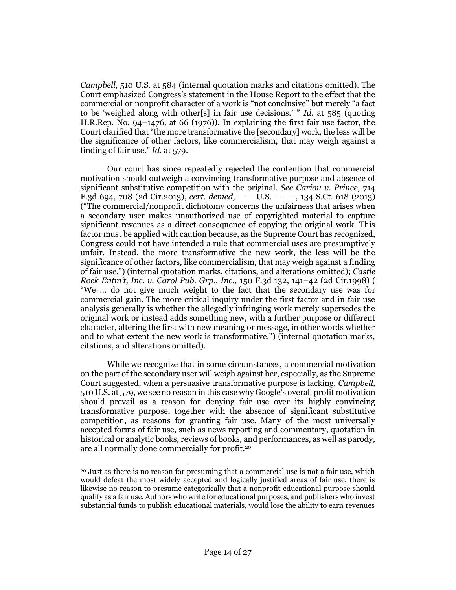*Campbell,* [510 U.S. at 584](http://www.westlaw.com/Link/Document/FullText?findType=Y&serNum=1994058334&pubNum=0000708&originatingDoc=I918674d4743311e5a807ad48145ed9f1&refType=RP&originationContext=document&vr=3.0&rs=cblt1.0&transitionType=DocumentItem&contextData=(sc.Search)) (internal quotation marks and citations omitted). The Court emphasized Congress's statement in the House Report to the effect that the commercial or nonprofit character of a work is "not conclusive" but merely "a fact to be 'weighed along with other[s] in fair use decisions.' " *Id.* [at 585](http://www.westlaw.com/Link/Document/FullText?findType=Y&serNum=1994058334&pubNum=0000708&originatingDoc=I918674d4743311e5a807ad48145ed9f1&refType=RP&originationContext=document&vr=3.0&rs=cblt1.0&transitionType=DocumentItem&contextData=(sc.Search)) (quoting [H.R.Rep. No. 94](http://www.westlaw.com/Link/Document/FullText?findType=Y&serNum=0100747631&pubNum=0100014&originatingDoc=I918674d4743311e5a807ad48145ed9f1&refType=TV&originationContext=document&vr=3.0&rs=cblt1.0&transitionType=DocumentItem&contextData=(sc.Search))–1476, at 66 (1976)). In explaining the first fair use factor, the Court clarified that "the more transformative the [secondary] work, the less will be the significance of other factors, like commercialism, that may weigh against a finding of fair use." *Id.* [at 579.](http://www.westlaw.com/Link/Document/FullText?findType=Y&serNum=1994058334&pubNum=0000708&originatingDoc=I918674d4743311e5a807ad48145ed9f1&refType=RP&originationContext=document&vr=3.0&rs=cblt1.0&transitionType=DocumentItem&contextData=(sc.Search))

Our court has since repeatedly rejected the contention that commercial motivation should outweigh a convincing transformative purpose and absence of significant substitutive competition with the original. *See [Cariou v. Prince,](http://www.westlaw.com/Link/Document/FullText?findType=Y&serNum=2030422816&pubNum=0000506&originatingDoc=I918674d4743311e5a807ad48145ed9f1&refType=RP&fi=co_pp_sp_506_708&originationContext=document&vr=3.0&rs=cblt1.0&transitionType=DocumentItem&contextData=(sc.Search)#co_pp_sp_506_708)* 714 [F.3d 694, 708 \(2d Cir.2013\),](http://www.westlaw.com/Link/Document/FullText?findType=Y&serNum=2030422816&pubNum=0000506&originatingDoc=I918674d4743311e5a807ad48145ed9f1&refType=RP&fi=co_pp_sp_506_708&originationContext=document&vr=3.0&rs=cblt1.0&transitionType=DocumentItem&contextData=(sc.Search)#co_pp_sp_506_708) *cert. denied,* ––– U.S. ––––[, 134 S.Ct. 618 \(2013\)](http://www.westlaw.com/Link/Document/FullText?findType=Y&serNum=2031360818&pubNum=0000708&originatingDoc=I918674d4743311e5a807ad48145ed9f1&refType=RP&originationContext=document&vr=3.0&rs=cblt1.0&transitionType=DocumentItem&contextData=(sc.Search)) ("The commercial/nonprofit dichotomy concerns the unfairness that arises when a secondary user makes unauthorized use of copyrighted material to capture significant revenues as a direct consequence of copying the original work. This factor must be applied with caution because, as the Supreme Court has recognized, Congress could not have intended a rule that commercial uses are presumptively unfair. Instead, the more transformative the new work, the less will be the significance of other factors, like commercialism, that may weigh against a finding of fair use.") (internal quotation marks, citations, and alterations omitted); *[Castle](http://www.westlaw.com/Link/Document/FullText?findType=Y&serNum=1998143885&pubNum=0000506&originatingDoc=I918674d4743311e5a807ad48145ed9f1&refType=RP&fi=co_pp_sp_506_141&originationContext=document&vr=3.0&rs=cblt1.0&transitionType=DocumentItem&contextData=(sc.Search)#co_pp_sp_506_141)  [Rock Entm't, Inc. v. Carol Pub. Grp., Inc.,](http://www.westlaw.com/Link/Document/FullText?findType=Y&serNum=1998143885&pubNum=0000506&originatingDoc=I918674d4743311e5a807ad48145ed9f1&refType=RP&fi=co_pp_sp_506_141&originationContext=document&vr=3.0&rs=cblt1.0&transitionType=DocumentItem&contextData=(sc.Search)#co_pp_sp_506_141)* 150 F.3d 132, 141–42 (2d Cir.1998) ( "We ... do not give much weight to the fact that the secondary use was for commercial gain. The more critical inquiry under the first factor and in fair use analysis generally is whether the allegedly infringing work merely supersedes the original work or instead adds something new, with a further purpose or different character, altering the first with new meaning or message, in other words whether and to what extent the new work is transformative.") (internal quotation marks, citations, and alterations omitted).

While we recognize that in some circumstances, a commercial motivation on the part of the secondary user will weigh against her, especially, as the Supreme Court suggested, when a persuasive transformative purpose is lacking, *[Campbell,](http://www.westlaw.com/Link/Document/FullText?findType=Y&serNum=1994058334&pubNum=0000708&originatingDoc=I918674d4743311e5a807ad48145ed9f1&refType=RP&originationContext=document&vr=3.0&rs=cblt1.0&transitionType=DocumentItem&contextData=(sc.Search))* [510 U.S. at 579](http://www.westlaw.com/Link/Document/FullText?findType=Y&serNum=1994058334&pubNum=0000708&originatingDoc=I918674d4743311e5a807ad48145ed9f1&refType=RP&originationContext=document&vr=3.0&rs=cblt1.0&transitionType=DocumentItem&contextData=(sc.Search)), we see no reason in this case why Google's overall profit motivation should prevail as a reason for denying fair use over its highly convincing transformative purpose, together with the absence of significant substitutive competition, as reasons for granting fair use. Many of the most universally accepted forms of fair use, such as news reporting and commentary, quotation in historical or analytic books, reviews of books, and performances, as well as parody, are all normally done commercially for profit.<sup>20</sup>

 $\overline{\phantom{a}}$ <sup>20</sup> Just as there is no reason for presuming that a commercial use is not a fair use, which would defeat the most widely accepted and logically justified areas of fair use, there is likewise no reason to presume categorically that a nonprofit educational purpose should qualify as a fair use. Authors who write for educational purposes, and publishers who invest substantial funds to publish educational materials, would lose the ability to earn revenues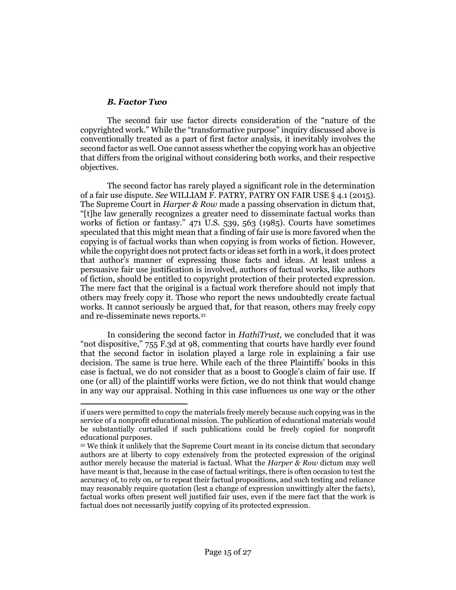# *B. Factor Two*

 $\overline{\phantom{a}}$ 

The second fair use factor directs consideration of the "nature of the copyrighted work." While the "transformative purpose" inquiry discussed above is conventionally treated as a part of first factor analysis, it inevitably involves the second factor as well. One cannot assess whether the copying work has an objective that differs from the original without considering both works, and their respective objectives.

The second factor has rarely played a significant role in the determination of a fair use dispute. *See* WILLIAM F. PATRY, PATRY ON FAIR USE § 4.1 (2015). The Supreme Court in *Harper & Row* made a passing observation in dictum that, "[t]he law generally recognizes a greater need to disseminate factual works than works of fiction or fantasy." [471 U.S. 539, 563 \(1985\).](http://www.westlaw.com/Link/Document/FullText?findType=Y&serNum=1985125844&pubNum=0000708&originatingDoc=I918674d4743311e5a807ad48145ed9f1&refType=RP&originationContext=document&vr=3.0&rs=cblt1.0&transitionType=DocumentItem&contextData=(sc.Search)) Courts have sometimes speculated that this might mean that a finding of fair use is more favored when the copying is of factual works than when copying is from works of fiction. However, while the copyright does not protect facts or ideas set forth in a work, it does protect that author's manner of expressing those facts and ideas. At least unless a persuasive fair use justification is involved, authors of factual works, like authors of fiction, should be entitled to copyright protection of their protected expression. The mere fact that the original is a factual work therefore should not imply that others may freely copy it. Those who report the news undoubtedly create factual works. It cannot seriously be argued that, for that reason, others may freely copy and re-disseminate news reports.<sup>21</sup>

In considering the second factor in *HathiTrust,* we concluded that it was "not dispositive," [755 F.3d at 98,](http://www.westlaw.com/Link/Document/FullText?findType=Y&serNum=2033553689&pubNum=0000506&originatingDoc=I918674d4743311e5a807ad48145ed9f1&refType=RP&fi=co_pp_sp_506_98&originationContext=document&vr=3.0&rs=cblt1.0&transitionType=DocumentItem&contextData=(sc.Search)#co_pp_sp_506_98) commenting that courts have hardly ever found that the second factor in isolation played a large role in explaining a fair use decision. The same is true here. While each of the three Plaintiffs' books in this case is factual, we do not consider that as a boost to Google's claim of fair use. If one (or all) of the plaintiff works were fiction, we do not think that would change in any way our appraisal. Nothing in this case influences us one way or the other

if users were permitted to copy the materials freely merely because such copying was in the service of a nonprofit educational mission. The publication of educational materials would be substantially curtailed if such publications could be freely copied for nonprofit educational purposes.

<sup>21</sup> We think it unlikely that the Supreme Court meant in its concise dictum that secondary authors are at liberty to copy extensively from the protected expression of the original author merely because the material is factual. What the *Harper & Row* dictum may well have meant is that, because in the case of factual writings, there is often occasion to test the accuracy of, to rely on, or to repeat their factual propositions, and such testing and reliance may reasonably require quotation (lest a change of expression unwittingly alter the facts), factual works often present well justified fair uses, even if the mere fact that the work is factual does not necessarily justify copying of its protected expression.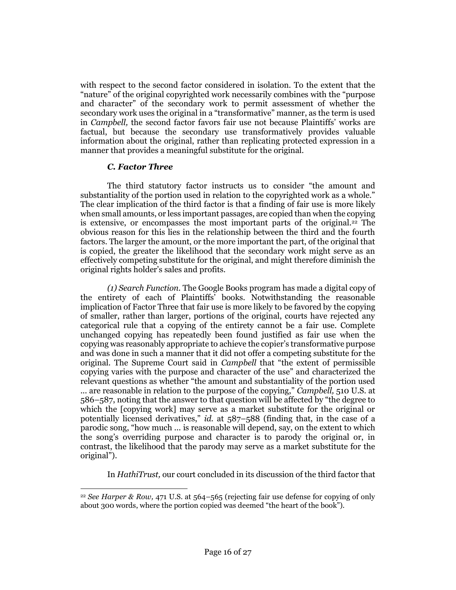with respect to the second factor considered in isolation. To the extent that the "nature" of the original copyrighted work necessarily combines with the "purpose and character" of the secondary work to permit assessment of whether the secondary work uses the original in a "transformative" manner, as the term is used in *Campbell,* the second factor favors fair use not because Plaintiffs' works are factual, but because the secondary use transformatively provides valuable information about the original, rather than replicating protected expression in a manner that provides a meaningful substitute for the original.

#### *C. Factor Three*

 $\overline{\phantom{a}}$ 

The third statutory factor instructs us to consider "the amount and substantiality of the portion used in relation to the copyrighted work as a whole." The clear implication of the third factor is that a finding of fair use is more likely when small amounts, or less important passages, are copied than when the copying is extensive, or encompasses the most important parts of the original.<sup>22</sup> The obvious reason for this lies in the relationship between the third and the fourth factors. The larger the amount, or the more important the part, of the original that is copied, the greater the likelihood that the secondary work might serve as an effectively competing substitute for the original, and might therefore diminish the original rights holder's sales and profits.

*(1) Search Function.* The Google Books program has made a digital copy of the entirety of each of Plaintiffs' books. Notwithstanding the reasonable implication of Factor Three that fair use is more likely to be favored by the copying of smaller, rather than larger, portions of the original, courts have rejected any categorical rule that a copying of the entirety cannot be a fair use. Complete unchanged copying has repeatedly been found justified as fair use when the copying was reasonably appropriate to achieve the copier's transformative purpose and was done in such a manner that it did not offer a competing substitute for the original. The Supreme Court said in *Campbell* that "the extent of permissible copying varies with the purpose and character of the use" and characterized the relevant questions as whether "the amount and substantiality of the portion used ... are reasonable in relation to the purpose of the copying," *Campbell,* [510 U.S. at](http://www.westlaw.com/Link/Document/FullText?findType=Y&serNum=1994058334&pubNum=0000708&originatingDoc=I918674d4743311e5a807ad48145ed9f1&refType=RP&originationContext=document&vr=3.0&rs=cblt1.0&transitionType=DocumentItem&contextData=(sc.Search))  586–[587,](http://www.westlaw.com/Link/Document/FullText?findType=Y&serNum=1994058334&pubNum=0000708&originatingDoc=I918674d4743311e5a807ad48145ed9f1&refType=RP&originationContext=document&vr=3.0&rs=cblt1.0&transitionType=DocumentItem&contextData=(sc.Search)) noting that the answer to that question will be affected by "the degree to which the [copying work] may serve as a market substitute for the original or potentially licensed derivatives," *id.* [at 587](http://www.westlaw.com/Link/Document/FullText?findType=Y&serNum=1994058334&pubNum=0000708&originatingDoc=I918674d4743311e5a807ad48145ed9f1&refType=RP&originationContext=document&vr=3.0&rs=cblt1.0&transitionType=DocumentItem&contextData=(sc.Search))–588 (finding that, in the case of a parodic song, "how much ... is reasonable will depend, say, on the extent to which the song's overriding purpose and character is to parody the original or, in contrast, the likelihood that the parody may serve as a market substitute for the original").

In *HathiTrust,* our court concluded in its discussion of the third factor that

<sup>22</sup> *See [Harper & Row,](http://www.westlaw.com/Link/Document/FullText?findType=Y&serNum=1985125844&pubNum=0000708&originatingDoc=I918674d4743311e5a807ad48145ed9f1&refType=RP&originationContext=document&vr=3.0&rs=cblt1.0&transitionType=DocumentItem&contextData=(sc.Search))* 471 U.S. at 564–565 (rejecting fair use defense for copying of only about 300 words, where the portion copied was deemed "the heart of the book").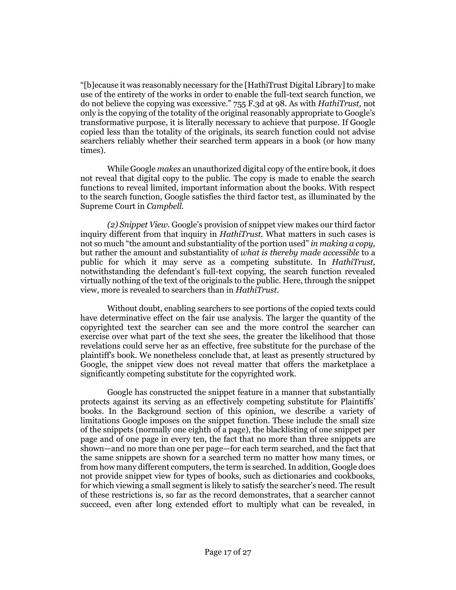"[b]ecause it was reasonably necessary for the [HathiTrust Digital Library] to make use of the entirety of the works in order to enable the full-text search function, we do not believe the copying was excessive." [755 F.3d at 98.](http://www.westlaw.com/Link/Document/FullText?findType=Y&serNum=2033553689&pubNum=0000506&originatingDoc=I918674d4743311e5a807ad48145ed9f1&refType=RP&fi=co_pp_sp_506_98&originationContext=document&vr=3.0&rs=cblt1.0&transitionType=DocumentItem&contextData=(sc.Search)#co_pp_sp_506_98) As with *HathiTrust,* not only is the copying of the totality of the original reasonably appropriate to Google's transformative purpose, it is literally necessary to achieve that purpose. If Google copied less than the totality of the originals, its search function could not advise searchers reliably whether their searched term appears in a book (or how many times).

While Google *makes* an unauthorized digital copy of the entire book, it does not reveal that digital copy to the public. The copy is made to enable the search functions to reveal limited, important information about the books. With respect to the search function, Google satisfies the third factor test, as illuminated by the Supreme Court in *Campbell.*

*(2) Snippet View.* Google's provision of snippet view makes our third factor inquiry different from that inquiry in *HathiTrust.* What matters in such cases is not so much "the amount and substantiality of the portion used" *in making a copy,* but rather the amount and substantiality of *what is thereby made accessible* to a public for which it may serve as a competing substitute. In *HathiTrust,* notwithstanding the defendant's full-text copying, the search function revealed virtually nothing of the text of the originals to the public. Here, through the snippet view, more is revealed to searchers than in *HathiTrust.*

Without doubt, enabling searchers to see portions of the copied texts could have determinative effect on the fair use analysis. The larger the quantity of the copyrighted text the searcher can see and the more control the searcher can exercise over what part of the text she sees, the greater the likelihood that those revelations could serve her as an effective, free substitute for the purchase of the plaintiff's book. We nonetheless conclude that, at least as presently structured by Google, the snippet view does not reveal matter that offers the marketplace a significantly competing substitute for the copyrighted work.

Google has constructed the snippet feature in a manner that substantially protects against its serving as an effectively competing substitute for Plaintiffs' books. In the Background section of this opinion, we describe a variety of limitations Google imposes on the snippet function. These include the small size of the snippets (normally one eighth of a page), the blacklisting of one snippet per page and of one page in every ten, the fact that no more than three snippets are shown—and no more than one per page—for each term searched, and the fact that the same snippets are shown for a searched term no matter how many times, or from how many different computers, the term is searched. In addition, Google does not provide snippet view for types of books, such as dictionaries and cookbooks, for which viewing a small segment is likely to satisfy the searcher's need. The result of these restrictions is, so far as the record demonstrates, that a searcher cannot succeed, even after long extended effort to multiply what can be revealed, in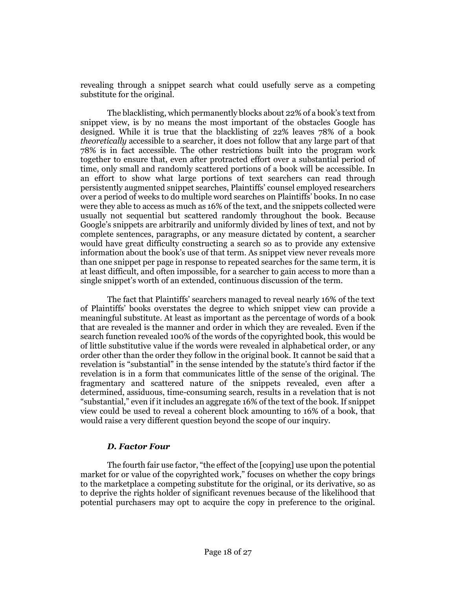revealing through a snippet search what could usefully serve as a competing substitute for the original.

The blacklisting, which permanently blocks about 22% of a book's text from snippet view, is by no means the most important of the obstacles Google has designed. While it is true that the blacklisting of 22% leaves 78% of a book *theoretically* accessible to a searcher, it does not follow that any large part of that 78% is in fact accessible. The other restrictions built into the program work together to ensure that, even after protracted effort over a substantial period of time, only small and randomly scattered portions of a book will be accessible. In an effort to show what large portions of text searchers can read through persistently augmented snippet searches, Plaintiffs' counsel employed researchers over a period of weeks to do multiple word searches on Plaintiffs' books. In no case were they able to access as much as 16% of the text, and the snippets collected were usually not sequential but scattered randomly throughout the book. Because Google's snippets are arbitrarily and uniformly divided by lines of text, and not by complete sentences, paragraphs, or any measure dictated by content, a searcher would have great difficulty constructing a search so as to provide any extensive information about the book's use of that term. As snippet view never reveals more than one snippet per page in response to repeated searches for the same term, it is at least difficult, and often impossible, for a searcher to gain access to more than a single snippet's worth of an extended, continuous discussion of the term.

The fact that Plaintiffs' searchers managed to reveal nearly 16% of the text of Plaintiffs' books overstates the degree to which snippet view can provide a meaningful substitute. At least as important as the percentage of words of a book that are revealed is the manner and order in which they are revealed. Even if the search function revealed 100% of the words of the copyrighted book, this would be of little substitutive value if the words were revealed in alphabetical order, or any order other than the order they follow in the original book. It cannot be said that a revelation is "substantial" in the sense intended by the statute's third factor if the revelation is in a form that communicates little of the sense of the original. The fragmentary and scattered nature of the snippets revealed, even after a determined, assiduous, time-consuming search, results in a revelation that is not "substantial," even if it includes an aggregate 16% of the text of the book. If snippet view could be used to reveal a coherent block amounting to 16% of a book, that would raise a very different question beyond the scope of our inquiry.

# *D. Factor Four*

The fourth fair use factor, "the effect of the [copying] use upon the potential market for or value of the copyrighted work," focuses on whether the copy brings to the marketplace a competing substitute for the original, or its derivative, so as to deprive the rights holder of significant revenues because of the likelihood that potential purchasers may opt to acquire the copy in preference to the original.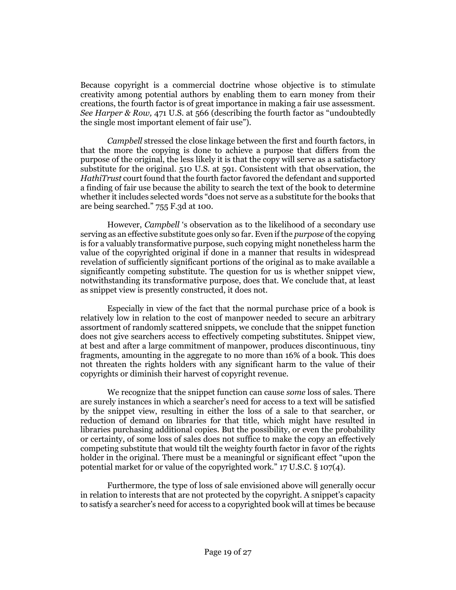Because copyright is a commercial doctrine whose objective is to stimulate creativity among potential authors by enabling them to earn money from their creations, the fourth factor is of great importance in making a fair use assessment. *See [Harper & Row,](http://www.westlaw.com/Link/Document/FullText?findType=Y&serNum=1985125844&pubNum=0000708&originatingDoc=I918674d4743311e5a807ad48145ed9f1&refType=RP&originationContext=document&vr=3.0&rs=cblt1.0&transitionType=DocumentItem&contextData=(sc.Search))* 471 U.S. at 566 (describing the fourth factor as "undoubtedly the single most important element of fair use").

*Campbell* stressed the close linkage between the first and fourth factors, in that the more the copying is done to achieve a purpose that differs from the purpose of the original, the less likely it is that the copy will serve as a satisfactory substitute for the original. [510 U.S. at 591.](http://www.westlaw.com/Link/Document/FullText?findType=Y&serNum=1994058334&pubNum=0000708&originatingDoc=I918674d4743311e5a807ad48145ed9f1&refType=RP&originationContext=document&vr=3.0&rs=cblt1.0&transitionType=DocumentItem&contextData=(sc.Search)) Consistent with that observation, the *HathiTrust* court found that the fourth factor favored the defendant and supported a finding of fair use because the ability to search the text of the book to determine whether it includes selected words "does not serve as a substitute for the books that are being searched." [755 F.3d at 100.](http://www.westlaw.com/Link/Document/FullText?findType=Y&serNum=2033553689&pubNum=0000506&originatingDoc=I918674d4743311e5a807ad48145ed9f1&refType=RP&fi=co_pp_sp_506_100&originationContext=document&vr=3.0&rs=cblt1.0&transitionType=DocumentItem&contextData=(sc.Search)#co_pp_sp_506_100)

However, *Campbell* 's observation as to the likelihood of a secondary use serving as an effective substitute goes only so far. Even if the *purpose* of the copying is for a valuably transformative purpose, such copying might nonetheless harm the value of the copyrighted original if done in a manner that results in widespread revelation of sufficiently significant portions of the original as to make available a significantly competing substitute. The question for us is whether snippet view, notwithstanding its transformative purpose, does that. We conclude that, at least as snippet view is presently constructed, it does not.

Especially in view of the fact that the normal purchase price of a book is relatively low in relation to the cost of manpower needed to secure an arbitrary assortment of randomly scattered snippets, we conclude that the snippet function does not give searchers access to effectively competing substitutes. Snippet view, at best and after a large commitment of manpower, produces discontinuous, tiny fragments, amounting in the aggregate to no more than 16% of a book. This does not threaten the rights holders with any significant harm to the value of their copyrights or diminish their harvest of copyright revenue.

We recognize that the snippet function can cause *some* loss of sales. There are surely instances in which a searcher's need for access to a text will be satisfied by the snippet view, resulting in either the loss of a sale to that searcher, or reduction of demand on libraries for that title, which might have resulted in libraries purchasing additional copies. But the possibility, or even the probability or certainty, of some loss of sales does not suffice to make the copy an effectively competing substitute that would tilt the weighty fourth factor in favor of the rights holder in the original. There must be a meaningful or significant effect "upon the potential market for or value of the copyrighted work." [17 U.S.C. § 107\(4\).](http://www.westlaw.com/Link/Document/FullText?findType=L&pubNum=1000546&cite=17USCAS107&originatingDoc=I918674d4743311e5a807ad48145ed9f1&refType=RB&originationContext=document&vr=3.0&rs=cblt1.0&transitionType=DocumentItem&contextData=(sc.Search)#co_pp_0bd500007a412)

Furthermore, the type of loss of sale envisioned above will generally occur in relation to interests that are not protected by the copyright. A snippet's capacity to satisfy a searcher's need for access to a copyrighted book will at times be because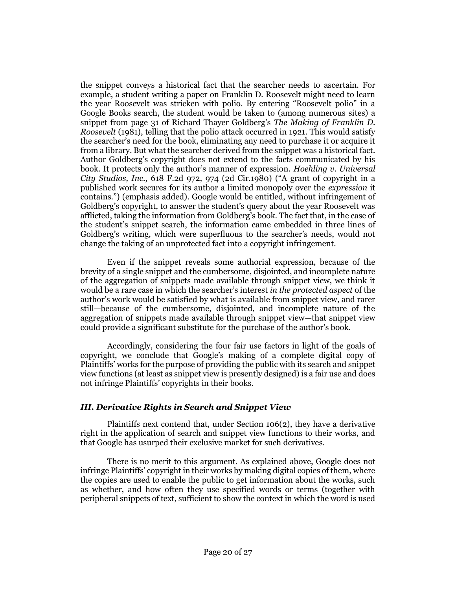the snippet conveys a historical fact that the searcher needs to ascertain. For example, a student writing a paper on Franklin D. Roosevelt might need to learn the year Roosevelt was stricken with polio. By entering "Roosevelt polio" in a Google Books search, the student would be taken to (among numerous sites) a snippet from page 31 of Richard Thayer Goldberg's *The Making of Franklin D. Roosevelt* (1981), telling that the polio attack occurred in 1921. This would satisfy the searcher's need for the book, eliminating any need to purchase it or acquire it from a library. But what the searcher derived from the snippet was a historical fact. Author Goldberg's copyright does not extend to the facts communicated by his book. It protects only the author's manner of expression. *[Hoehling v. Universal](http://www.westlaw.com/Link/Document/FullText?findType=Y&serNum=1980112712&pubNum=0000350&originatingDoc=I918674d4743311e5a807ad48145ed9f1&refType=RP&fi=co_pp_sp_350_974&originationContext=document&vr=3.0&rs=cblt1.0&transitionType=DocumentItem&contextData=(sc.Search)#co_pp_sp_350_974)  City Studios, Inc.,* [618 F.2d 972, 974 \(2d Cir.1980\)](http://www.westlaw.com/Link/Document/FullText?findType=Y&serNum=1980112712&pubNum=0000350&originatingDoc=I918674d4743311e5a807ad48145ed9f1&refType=RP&fi=co_pp_sp_350_974&originationContext=document&vr=3.0&rs=cblt1.0&transitionType=DocumentItem&contextData=(sc.Search)#co_pp_sp_350_974) ("A grant of copyright in a published work secures for its author a limited monopoly over the *expression* it contains.") (emphasis added). Google would be entitled, without infringement of Goldberg's copyright, to answer the student's query about the year Roosevelt was afflicted, taking the information from Goldberg's book. The fact that, in the case of the student's snippet search, the information came embedded in three lines of Goldberg's writing, which were superfluous to the searcher's needs, would not change the taking of an unprotected fact into a copyright infringement.

Even if the snippet reveals some authorial expression, because of the brevity of a single snippet and the cumbersome, disjointed, and incomplete nature of the aggregation of snippets made available through snippet view, we think it would be a rare case in which the searcher's interest *in the protected aspect* of the author's work would be satisfied by what is available from snippet view, and rarer still—because of the cumbersome, disjointed, and incomplete nature of the aggregation of snippets made available through snippet view—that snippet view could provide a significant substitute for the purchase of the author's book.

Accordingly, considering the four fair use factors in light of the goals of copyright, we conclude that Google's making of a complete digital copy of Plaintiffs' works for the purpose of providing the public with its search and snippet view functions (at least as snippet view is presently designed) is a fair use and does not infringe Plaintiffs' copyrights in their books.

# *III. Derivative Rights in Search and Snippet View*

Plaintiffs next contend that, under [Section 106\(2\),](http://www.westlaw.com/Link/Document/FullText?findType=L&pubNum=1000546&cite=17USCAS106&originatingDoc=I918674d4743311e5a807ad48145ed9f1&refType=RB&originationContext=document&vr=3.0&rs=cblt1.0&transitionType=DocumentItem&contextData=(sc.Search)#co_pp_58730000872b1) they have a derivative right in the application of search and snippet view functions to their works, and that Google has usurped their exclusive market for such derivatives.

There is no merit to this argument. As explained above, Google does not infringe Plaintiffs' copyright in their works by making digital copies of them, where the copies are used to enable the public to get information about the works, such as whether, and how often they use specified words or terms (together with peripheral snippets of text, sufficient to show the context in which the word is used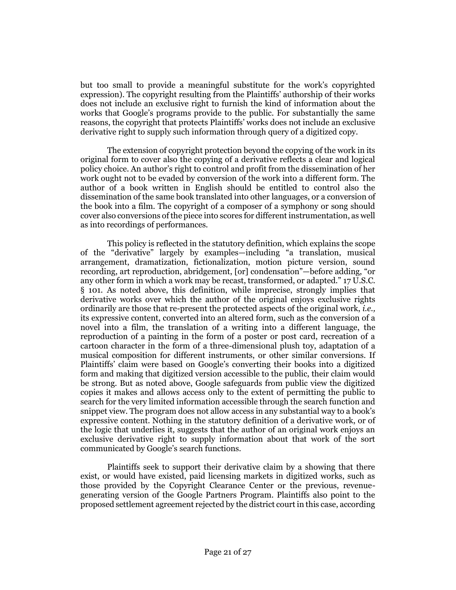but too small to provide a meaningful substitute for the work's copyrighted expression). The copyright resulting from the Plaintiffs' authorship of their works does not include an exclusive right to furnish the kind of information about the works that Google's programs provide to the public. For substantially the same reasons, the copyright that protects Plaintiffs' works does not include an exclusive derivative right to supply such information through query of a digitized copy.

The extension of copyright protection beyond the copying of the work in its original form to cover also the copying of a derivative reflects a clear and logical policy choice. An author's right to control and profit from the dissemination of her work ought not to be evaded by conversion of the work into a different form. The author of a book written in English should be entitled to control also the dissemination of the same book translated into other languages, or a conversion of the book into a film. The copyright of a composer of a symphony or song should cover also conversions of the piece into scores for different instrumentation, as well as into recordings of performances.

This policy is reflected in the statutory definition, which explains the scope of the "derivative" largely by examples—including "a translation, musical arrangement, dramatization, fictionalization, motion picture version, sound recording, art reproduction, abridgement, [or] condensation"—before adding, "or any other form in which a work may be recast, transformed, or adapted." [17 U.S.C.](http://www.westlaw.com/Link/Document/FullText?findType=L&pubNum=1000546&cite=17USCAS101&originatingDoc=I918674d4743311e5a807ad48145ed9f1&refType=LQ&originationContext=document&vr=3.0&rs=cblt1.0&transitionType=DocumentItem&contextData=(sc.Search))  [§ 101.](http://www.westlaw.com/Link/Document/FullText?findType=L&pubNum=1000546&cite=17USCAS101&originatingDoc=I918674d4743311e5a807ad48145ed9f1&refType=LQ&originationContext=document&vr=3.0&rs=cblt1.0&transitionType=DocumentItem&contextData=(sc.Search)) As noted above, this definition, while imprecise, strongly implies that derivative works over which the author of the original enjoys exclusive rights ordinarily are those that re-present the protected aspects of the original work, *i.e.,* its expressive content, converted into an altered form, such as the conversion of a novel into a film, the translation of a writing into a different language, the reproduction of a painting in the form of a poster or post card, recreation of a cartoon character in the form of a three-dimensional plush toy, adaptation of a musical composition for different instruments, or other similar conversions. If Plaintiffs' claim were based on Google's converting their books into a digitized form and making that digitized version accessible to the public, their claim would be strong. But as noted above, Google safeguards from public view the digitized copies it makes and allows access only to the extent of permitting the public to search for the very limited information accessible through the search function and snippet view. The program does not allow access in any substantial way to a book's expressive content. Nothing in the statutory definition of a derivative work, or of the logic that underlies it, suggests that the author of an original work enjoys an exclusive derivative right to supply information about that work of the sort communicated by Google's search functions.

Plaintiffs seek to support their derivative claim by a showing that there exist, or would have existed, paid licensing markets in digitized works, such as those provided by the Copyright Clearance Center or the previous, revenuegenerating version of the Google Partners Program. Plaintiffs also point to the proposed settlement agreement rejected by the district court in this case, according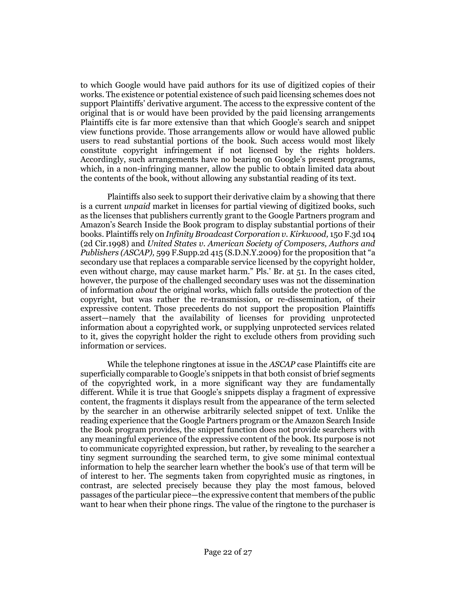to which Google would have paid authors for its use of digitized copies of their works. The existence or potential existence of such paid licensing schemes does not support Plaintiffs' derivative argument. The access to the expressive content of the original that is or would have been provided by the paid licensing arrangements Plaintiffs cite is far more extensive than that which Google's search and snippet view functions provide. Those arrangements allow or would have allowed public users to read substantial portions of the book. Such access would most likely constitute copyright infringement if not licensed by the rights holders. Accordingly, such arrangements have no bearing on Google's present programs, which, in a non-infringing manner, allow the public to obtain limited data about the contents of the book, without allowing any substantial reading of its text.

Plaintiffs also seek to support their derivative claim by a showing that there is a current *unpaid* market in licenses for partial viewing of digitized books, such as the licenses that publishers currently grant to the Google Partners program and Amazon's Search Inside the Book program to display substantial portions of their books. Plaintiffs rely on *[Infinity Broadcast Corporation v. Kirkwood,](http://www.westlaw.com/Link/Document/FullText?findType=Y&serNum=1998159952&pubNum=0000506&originatingDoc=I918674d4743311e5a807ad48145ed9f1&refType=RP&originationContext=document&vr=3.0&rs=cblt1.0&transitionType=DocumentItem&contextData=(sc.Search))* 150 F.3d 104 [\(2d Cir.1998\)](http://www.westlaw.com/Link/Document/FullText?findType=Y&serNum=1998159952&pubNum=0000506&originatingDoc=I918674d4743311e5a807ad48145ed9f1&refType=RP&originationContext=document&vr=3.0&rs=cblt1.0&transitionType=DocumentItem&contextData=(sc.Search)) and *[United States v. American Society of Composers, Authors and](http://www.westlaw.com/Link/Document/FullText?findType=Y&serNum=2018234171&pubNum=0004637&originatingDoc=I918674d4743311e5a807ad48145ed9f1&refType=RP&originationContext=document&vr=3.0&rs=cblt1.0&transitionType=DocumentItem&contextData=(sc.Search))  Publishers (ASCAP),* [599 F.Supp.2d 415 \(S.D.N.Y.2009\)](http://www.westlaw.com/Link/Document/FullText?findType=Y&serNum=2018234171&pubNum=0004637&originatingDoc=I918674d4743311e5a807ad48145ed9f1&refType=RP&originationContext=document&vr=3.0&rs=cblt1.0&transitionType=DocumentItem&contextData=(sc.Search)) for the proposition that "a secondary use that replaces a comparable service licensed by the copyright holder, even without charge, may cause market harm." Pls.' Br. at 51. In the cases cited, however, the purpose of the challenged secondary uses was not the dissemination of information *about* the original works, which falls outside the protection of the copyright, but was rather the re-transmission, or re-dissemination, of their expressive content. Those precedents do not support the proposition Plaintiffs assert—namely that the availability of licenses for providing unprotected information about a copyrighted work, or supplying unprotected services related to it, gives the copyright holder the right to exclude others from providing such information or services.

While the telephone ringtones at issue in the *ASCAP* case Plaintiffs cite are superficially comparable to Google's snippets in that both consist of brief segments of the copyrighted work, in a more significant way they are fundamentally different. While it is true that Google's snippets display a fragment of expressive content, the fragments it displays result from the appearance of the term selected by the searcher in an otherwise arbitrarily selected snippet of text. Unlike the reading experience that the Google Partners program or the Amazon Search Inside the Book program provides, the snippet function does not provide searchers with any meaningful experience of the expressive content of the book. Its purpose is not to communicate copyrighted expression, but rather, by revealing to the searcher a tiny segment surrounding the searched term, to give some minimal contextual information to help the searcher learn whether the book's use of that term will be of interest to her. The segments taken from copyrighted music as ringtones, in contrast, are selected precisely because they play the most famous, beloved passages of the particular piece—the expressive content that members of the public want to hear when their phone rings. The value of the ringtone to the purchaser is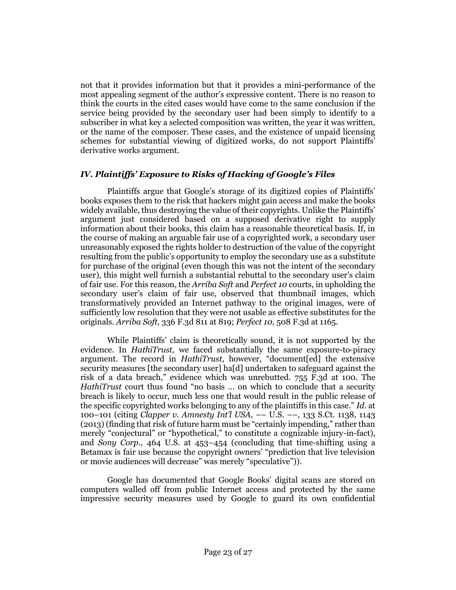not that it provides information but that it provides a mini-performance of the most appealing segment of the author's expressive content. There is no reason to think the courts in the cited cases would have come to the same conclusion if the service being provided by the secondary user had been simply to identify to a subscriber in what key a selected composition was written, the year it was written, or the name of the composer. These cases, and the existence of unpaid licensing schemes for substantial viewing of digitized works, do not support Plaintiffs' derivative works argument.

# *IV. Plaintiffs' Exposure to Risks of Hacking of Google's Files*

Plaintiffs argue that Google's storage of its digitized copies of Plaintiffs' books exposes them to the risk that hackers might gain access and make the books widely available, thus destroying the value of their copyrights. Unlike the Plaintiffs' argument just considered based on a supposed derivative right to supply information about their books, this claim has a reasonable theoretical basis. If, in the course of making an arguable fair use of a copyrighted work, a secondary user unreasonably exposed the rights holder to destruction of the value of the copyright resulting from the public's opportunity to employ the secondary use as a substitute for purchase of the original (even though this was not the intent of the secondary user), this might well furnish a substantial rebuttal to the secondary user's claim of fair use. For this reason, the *Arriba Soft* and *Perfect 10* courts, in upholding the secondary user's claim of fair use, observed that thumbnail images, which transformatively provided an Internet pathway to the original images, were of sufficiently low resolution that they were not usable as effective substitutes for the originals. *Arriba Soft,* [336 F.3d 811 at 819;](http://www.westlaw.com/Link/Document/FullText?findType=Y&serNum=2003469492&pubNum=0000506&originatingDoc=I918674d4743311e5a807ad48145ed9f1&refType=RP&fi=co_pp_sp_506_819&originationContext=document&vr=3.0&rs=cblt1.0&transitionType=DocumentItem&contextData=(sc.Search)#co_pp_sp_506_819) *Perfect 10,* [508 F.3d at 1165.](http://www.westlaw.com/Link/Document/FullText?findType=Y&serNum=2014245836&pubNum=0000506&originatingDoc=I918674d4743311e5a807ad48145ed9f1&refType=RP&fi=co_pp_sp_506_1165&originationContext=document&vr=3.0&rs=cblt1.0&transitionType=DocumentItem&contextData=(sc.Search)#co_pp_sp_506_1165)

While Plaintiffs' claim is theoretically sound, it is not supported by the evidence. In *HathiTrust,* we faced substantially the same exposure-to-piracy argument. The record in *HathiTrust,* however, "document[ed] the extensive security measures [the secondary user] ha[d] undertaken to safeguard against the risk of a data breach," evidence which was unrebutted. [755 F.3d at 100.](http://www.westlaw.com/Link/Document/FullText?findType=Y&serNum=2033553689&pubNum=0000506&originatingDoc=I918674d4743311e5a807ad48145ed9f1&refType=RP&fi=co_pp_sp_506_100&originationContext=document&vr=3.0&rs=cblt1.0&transitionType=DocumentItem&contextData=(sc.Search)#co_pp_sp_506_100) The *HathiTrust* court thus found "no basis ... on which to conclude that a security breach is likely to occur, much less one that would result in the public release of the specific copyrighted works belonging to any of the plaintiffs in this case." *[Id.](http://www.westlaw.com/Link/Document/FullText?findType=Y&serNum=2033553689&pubNum=0000506&originatingDoc=I918674d4743311e5a807ad48145ed9f1&refType=RP&fi=co_pp_sp_506_100&originationContext=document&vr=3.0&rs=cblt1.0&transitionType=DocumentItem&contextData=(sc.Search)#co_pp_sp_506_100)* at [100](http://www.westlaw.com/Link/Document/FullText?findType=Y&serNum=2033553689&pubNum=0000506&originatingDoc=I918674d4743311e5a807ad48145ed9f1&refType=RP&fi=co_pp_sp_506_100&originationContext=document&vr=3.0&rs=cblt1.0&transitionType=DocumentItem&contextData=(sc.Search)#co_pp_sp_506_100)–101 (citing *[Clapper v. Amnesty Int'l USA,](http://www.westlaw.com/Link/Document/FullText?findType=Y&serNum=2029935439&pubNum=0000708&originatingDoc=I918674d4743311e5a807ad48145ed9f1&refType=RP&fi=co_pp_sp_708_1143&originationContext=document&vr=3.0&rs=cblt1.0&transitionType=DocumentItem&contextData=(sc.Search)#co_pp_sp_708_1143)* –– U.S. ––, 133 S.Ct. 1138, 1143 [\(2013\)](http://www.westlaw.com/Link/Document/FullText?findType=Y&serNum=2029935439&pubNum=0000708&originatingDoc=I918674d4743311e5a807ad48145ed9f1&refType=RP&fi=co_pp_sp_708_1143&originationContext=document&vr=3.0&rs=cblt1.0&transitionType=DocumentItem&contextData=(sc.Search)#co_pp_sp_708_1143) (finding that risk of future harm must be "certainly impending," rather than merely "conjectural" or "hypothetical," to constitute a cognizable injury-in-fact), and *Sony Corp.,* [464 U.S. at 453](http://www.westlaw.com/Link/Document/FullText?findType=Y&serNum=1984103021&pubNum=0000708&originatingDoc=I918674d4743311e5a807ad48145ed9f1&refType=RP&originationContext=document&vr=3.0&rs=cblt1.0&transitionType=DocumentItem&contextData=(sc.Search))–454 (concluding that time-shifting using a Betamax is fair use because the copyright owners' "prediction that live television or movie audiences will decrease" was merely "speculative")).

Google has documented that Google Books' digital scans are stored on computers walled off from public Internet access and protected by the same impressive security measures used by Google to guard its own confidential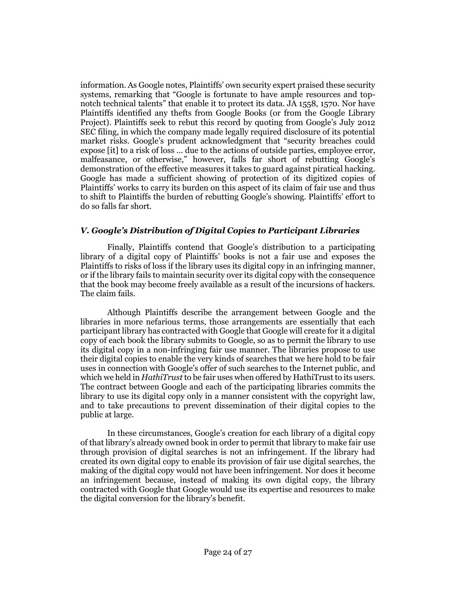information. As Google notes, Plaintiffs' own security expert praised these security systems, remarking that "Google is fortunate to have ample resources and topnotch technical talents" that enable it to protect its data. JA 1558, 1570. Nor have Plaintiffs identified any thefts from Google Books (or from the Google Library Project). Plaintiffs seek to rebut this record by quoting from Google's July 2012 SEC filing, in which the company made legally required disclosure of its potential market risks. Google's prudent acknowledgment that "security breaches could expose [it] to a risk of loss ... due to the actions of outside parties, employee error, malfeasance, or otherwise," however, falls far short of rebutting Google's demonstration of the effective measures it takes to guard against piratical hacking. Google has made a sufficient showing of protection of its digitized copies of Plaintiffs' works to carry its burden on this aspect of its claim of fair use and thus to shift to Plaintiffs the burden of rebutting Google's showing. Plaintiffs' effort to do so falls far short.

# *V. Google's Distribution of Digital Copies to Participant Libraries*

Finally, Plaintiffs contend that Google's distribution to a participating library of a digital copy of Plaintiffs' books is not a fair use and exposes the Plaintiffs to risks of loss if the library uses its digital copy in an infringing manner, or if the library fails to maintain security over its digital copy with the consequence that the book may become freely available as a result of the incursions of hackers. The claim fails.

Although Plaintiffs describe the arrangement between Google and the libraries in more nefarious terms, those arrangements are essentially that each participant library has contracted with Google that Google will create for it a digital copy of each book the library submits to Google, so as to permit the library to use its digital copy in a non-infringing fair use manner. The libraries propose to use their digital copies to enable the very kinds of searches that we here hold to be fair uses in connection with Google's offer of such searches to the Internet public, and which we held in *HathiTrust* to be fair uses when offered by HathiTrust to its users. The contract between Google and each of the participating libraries commits the library to use its digital copy only in a manner consistent with the copyright law, and to take precautions to prevent dissemination of their digital copies to the public at large.

In these circumstances, Google's creation for each library of a digital copy of that library's already owned book in order to permit that library to make fair use through provision of digital searches is not an infringement. If the library had created its own digital copy to enable its provision of fair use digital searches, the making of the digital copy would not have been infringement. Nor does it become an infringement because, instead of making its own digital copy, the library contracted with Google that Google would use its expertise and resources to make the digital conversion for the library's benefit.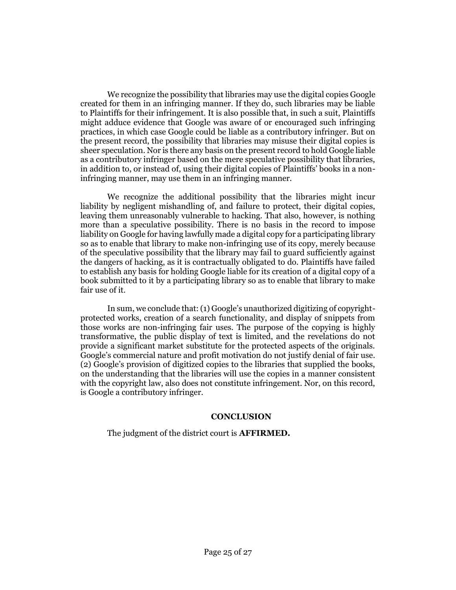We recognize the possibility that libraries may use the digital copies Google created for them in an infringing manner. If they do, such libraries may be liable to Plaintiffs for their infringement. It is also possible that, in such a suit, Plaintiffs might adduce evidence that Google was aware of or encouraged such infringing practices, in which case Google could be liable as a contributory infringer. But on the present record, the possibility that libraries may misuse their digital copies is sheer speculation. Nor is there any basis on the present record to hold Google liable as a contributory infringer based on the mere speculative possibility that libraries, in addition to, or instead of, using their digital copies of Plaintiffs' books in a noninfringing manner, may use them in an infringing manner.

We recognize the additional possibility that the libraries might incur liability by negligent mishandling of, and failure to protect, their digital copies, leaving them unreasonably vulnerable to hacking. That also, however, is nothing more than a speculative possibility. There is no basis in the record to impose liability on Google for having lawfully made a digital copy for a participating library so as to enable that library to make non-infringing use of its copy, merely because of the speculative possibility that the library may fail to guard sufficiently against the dangers of hacking, as it is contractually obligated to do. Plaintiffs have failed to establish any basis for holding Google liable for its creation of a digital copy of a book submitted to it by a participating library so as to enable that library to make fair use of it.

In sum, we conclude that: (1) Google's unauthorized digitizing of copyrightprotected works, creation of a search functionality, and display of snippets from those works are non-infringing fair uses. The purpose of the copying is highly transformative, the public display of text is limited, and the revelations do not provide a significant market substitute for the protected aspects of the originals. Google's commercial nature and profit motivation do not justify denial of fair use. (2) Google's provision of digitized copies to the libraries that supplied the books, on the understanding that the libraries will use the copies in a manner consistent with the copyright law, also does not constitute infringement. Nor, on this record, is Google a contributory infringer.

# **CONCLUSION**

The judgment of the district court is **AFFIRMED.**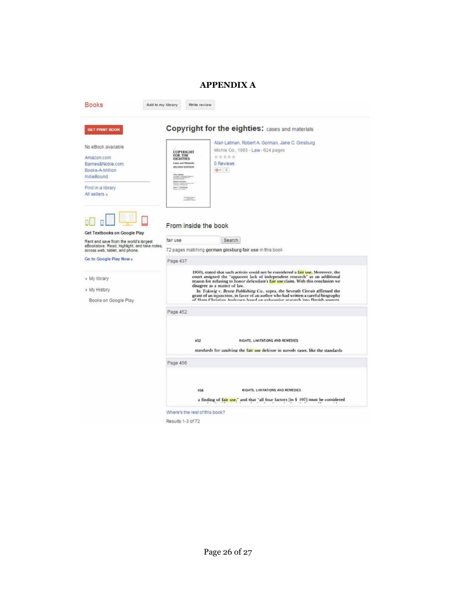# **APPENDIX A**

| <b>Books</b><br>Add to my library                                                                                                  | Write review                                                                                                                                                                                                                                                                                                                                                                                                                                                                                                                              |
|------------------------------------------------------------------------------------------------------------------------------------|-------------------------------------------------------------------------------------------------------------------------------------------------------------------------------------------------------------------------------------------------------------------------------------------------------------------------------------------------------------------------------------------------------------------------------------------------------------------------------------------------------------------------------------------|
| <b>GET PRINT BOOK</b>                                                                                                              | Copyright for the eighties: cases and materials                                                                                                                                                                                                                                                                                                                                                                                                                                                                                           |
| No eBook available<br>Amazon.com<br>Barnes&Noble.com<br>Books-A-Million<br><b>IndieBound</b><br>Find in a library<br>All sellers » | Alan Latman, Robert A. Gorman, Jane C. Ginsburg<br>Michie Co., 1985 - Law - 624 pages<br><b>COPYRIGHT</b><br>FOR THE<br>*****<br><b>EIGHTIES</b><br><b>Cases and Materials</b><br>0 Reviews<br><b>SECOND EDITION</b><br>$G+1 = 0$                                                                                                                                                                                                                                                                                                         |
| Get Textbooks on Google Play                                                                                                       | From inside the book                                                                                                                                                                                                                                                                                                                                                                                                                                                                                                                      |
| Rent and save from the world's largest<br>eBookstore. Read, highlight, and take notes,                                             | Search<br>fair use                                                                                                                                                                                                                                                                                                                                                                                                                                                                                                                        |
| across web, tablet, and phone.                                                                                                     | 72 pages matching gorman ginsburg fair use in this book                                                                                                                                                                                                                                                                                                                                                                                                                                                                                   |
| Go to Google Play Now »                                                                                                            | Page 437                                                                                                                                                                                                                                                                                                                                                                                                                                                                                                                                  |
| » My library<br>My History<br>Books on Google Play                                                                                 | 1950), stated that such activity could not be considered a fair use. Moreover, the<br>court assigned the "apparent lack of independent research" as an additional<br>reason for refusing to honor defendant's fair use claim. With this conclusion we<br>disagree as a matter of law.<br>In Toksvig v. Bruce Publishing Co., supra, the Seventh Circuit affirmed the<br>grant of an injunction, in favor of an author who had written a careful biography<br>of Hans Christian Andersen based on exhaustive research into Danish sources. |
|                                                                                                                                    | Page 452                                                                                                                                                                                                                                                                                                                                                                                                                                                                                                                                  |
|                                                                                                                                    | 452<br>RIGHTS, LIMITATIONS AND REMEDIES<br>standards for applying the fair use defense in parody cases. like the standards                                                                                                                                                                                                                                                                                                                                                                                                                |
|                                                                                                                                    | Page 456                                                                                                                                                                                                                                                                                                                                                                                                                                                                                                                                  |
|                                                                                                                                    | RIGHTS. LIMITATIONS AND REMEDIES<br>456<br>a finding of <i>fair use</i> ," and that "all four factors [in § 107] must be considered<br>Where's the rest of this book?<br>Results 1-3 of 72                                                                                                                                                                                                                                                                                                                                                |